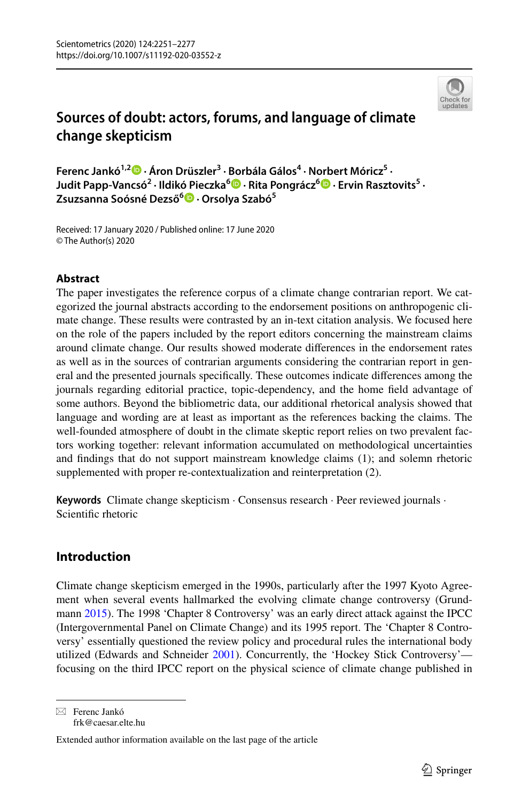

# **Sources of doubt: actors, forums, and language of climate change skepticism**

**Ferenc Jankó1,2  [·](http://orcid.org/0000-0003-1149-6745) Áron Drüszler3 · Borbála Gálos4 · Norbert Móricz5 · Judit Papp‑Vancsó<sup>2</sup> · Ildikó Pieczka6 · Rita Pongrácz6  [·](http://orcid.org/0000-0001-7591-7989) Ervin Rasztovits5 · Zsuzsanna Soósné Dezső[6](http://orcid.org/0000-0003-1325-1303) · Orsolya Szabó5**

Received: 17 January 2020 / Published online: 17 June 2020 © The Author(s) 2020

## **Abstract**

The paper investigates the reference corpus of a climate change contrarian report. We categorized the journal abstracts according to the endorsement positions on anthropogenic climate change. These results were contrasted by an in-text citation analysis. We focused here on the role of the papers included by the report editors concerning the mainstream claims around climate change. Our results showed moderate diferences in the endorsement rates as well as in the sources of contrarian arguments considering the contrarian report in general and the presented journals specifcally. These outcomes indicate diferences among the journals regarding editorial practice, topic-dependency, and the home feld advantage of some authors. Beyond the bibliometric data, our additional rhetorical analysis showed that language and wording are at least as important as the references backing the claims. The well-founded atmosphere of doubt in the climate skeptic report relies on two prevalent factors working together: relevant information accumulated on methodological uncertainties and fndings that do not support mainstream knowledge claims (1); and solemn rhetoric supplemented with proper re-contextualization and reinterpretation (2).

**Keywords** Climate change skepticism · Consensus research · Peer reviewed journals · Scientifc rhetoric

## **Introduction**

Climate change skepticism emerged in the 1990s, particularly after the 1997 Kyoto Agreement when several events hallmarked the evolving climate change controversy (Grund-mann [2015](#page-25-0)). The 1998 'Chapter 8 Controversy' was an early direct attack against the IPCC (Intergovernmental Panel on Climate Change) and its 1995 report. The 'Chapter 8 Controversy' essentially questioned the review policy and procedural rules the international body utilized (Edwards and Schneider [2001\)](#page-24-0). Concurrently, the 'Hockey Stick Controversy'focusing on the third IPCC report on the physical science of climate change published in

 $\boxtimes$  Ferenc Jankó frk@caesar.elte.hu

Extended author information available on the last page of the article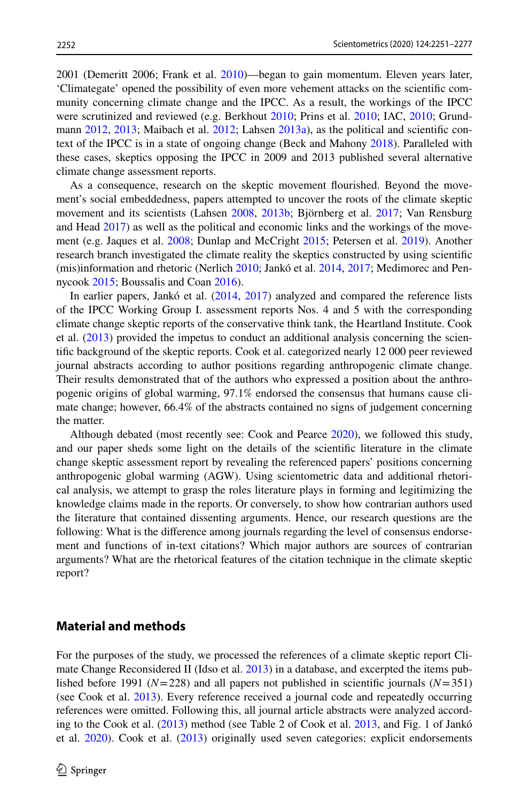2001 (Demeritt 2006; Frank et al. [2010](#page-25-1))—began to gain momentum. Eleven years later, 'Climategate' opened the possibility of even more vehement attacks on the scientifc community concerning climate change and the IPCC. As a result, the workings of the IPCC were scrutinized and reviewed (e.g. Berkhout [2010;](#page-24-1) Prins et al. [2010](#page-25-2); IAC, [2010](#page-25-3); Grund-mann [2012,](#page-25-4) [2013;](#page-25-5) Maibach et al. [2012;](#page-25-6) Lahsen [2013a\)](#page-25-7), as the political and scientific context of the IPCC is in a state of ongoing change (Beck and Mahony [2018\)](#page-24-2). Paralleled with these cases, skeptics opposing the IPCC in 2009 and 2013 published several alternative climate change assessment reports.

As a consequence, research on the skeptic movement fourished. Beyond the movement's social embeddedness, papers attempted to uncover the roots of the climate skeptic movement and its scientists (Lahsen [2008](#page-25-8), [2013b](#page-25-9); Björnberg et al. [2017;](#page-24-3) Van Rensburg and Head [2017\)](#page-25-10) as well as the political and economic links and the workings of the movement (e.g. Jaques et al. [2008](#page-25-11); Dunlap and McCright [2015;](#page-24-4) Petersen et al. [2019\)](#page-25-12). Another research branch investigated the climate reality the skeptics constructed by using scientifc (mis)information and rhetoric (Nerlich [2010;](#page-25-13) Jankó et al. [2014](#page-25-14), [2017;](#page-25-15) Medimorec and Pennycook [2015;](#page-25-16) Boussalis and Coan [2016](#page-24-5)).

In earlier papers, Jankó et al. ([2014,](#page-25-14) [2017](#page-25-15)) analyzed and compared the reference lists of the IPCC Working Group I. assessment reports Nos. 4 and 5 with the corresponding climate change skeptic reports of the conservative think tank, the Heartland Institute. Cook et al. ([2013\)](#page-24-6) provided the impetus to conduct an additional analysis concerning the scientifc background of the skeptic reports. Cook et al. categorized nearly 12 000 peer reviewed journal abstracts according to author positions regarding anthropogenic climate change. Their results demonstrated that of the authors who expressed a position about the anthropogenic origins of global warming, 97.1% endorsed the consensus that humans cause climate change; however, 66.4% of the abstracts contained no signs of judgement concerning the matter.

Although debated (most recently see: Cook and Pearce [2020](#page-24-7)), we followed this study, and our paper sheds some light on the details of the scientifc literature in the climate change skeptic assessment report by revealing the referenced papers' positions concerning anthropogenic global warming (AGW). Using scientometric data and additional rhetorical analysis, we attempt to grasp the roles literature plays in forming and legitimizing the knowledge claims made in the reports. Or conversely, to show how contrarian authors used the literature that contained dissenting arguments. Hence, our research questions are the following: What is the diference among journals regarding the level of consensus endorsement and functions of in-text citations? Which major authors are sources of contrarian arguments? What are the rhetorical features of the citation technique in the climate skeptic report?

## **Material and methods**

For the purposes of the study, we processed the references of a climate skeptic report Climate Change Reconsidered II (Idso et al. [2013](#page-25-17)) in a database, and excerpted the items published before 1991 ( $N=228$ ) and all papers not published in scientific journals ( $N=351$ ) (see Cook et al. [2013](#page-24-6)). Every reference received a journal code and repeatedly occurring references were omitted. Following this, all journal article abstracts were analyzed according to the Cook et al. ([2013\)](#page-24-6) method (see Table 2 of Cook et al. [2013,](#page-24-6) and Fig. 1 of Jankó et al. [2020](#page-25-18)). Cook et al. [\(2013](#page-24-6)) originally used seven categories: explicit endorsements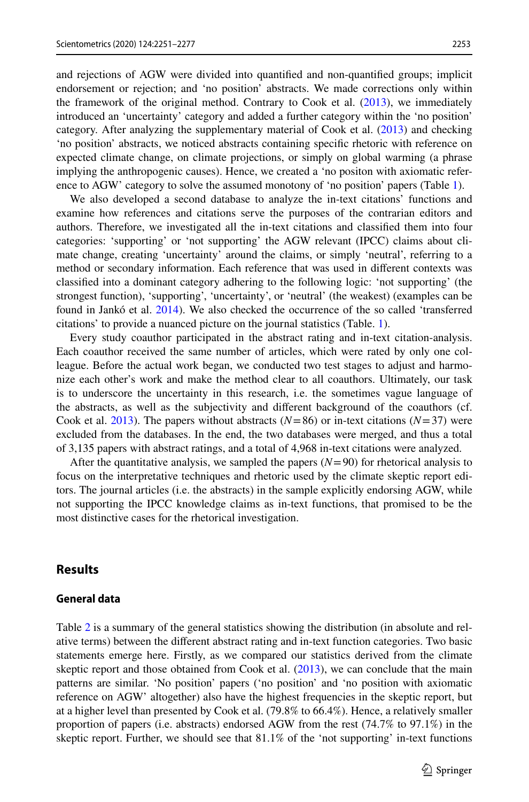and rejections of AGW were divided into quantifed and non-quantifed groups; implicit endorsement or rejection; and 'no position' abstracts. We made corrections only within the framework of the original method. Contrary to Cook et al. [\(2013](#page-24-6)), we immediately introduced an 'uncertainty' category and added a further category within the 'no position' category. After analyzing the supplementary material of Cook et al. ([2013\)](#page-24-6) and checking 'no position' abstracts, we noticed abstracts containing specifc rhetoric with reference on expected climate change, on climate projections, or simply on global warming (a phrase implying the anthropogenic causes). Hence, we created a 'no positon with axiomatic reference to AGW' category to solve the assumed monotony of 'no position' papers (Table [1\)](#page-3-0).

We also developed a second database to analyze the in-text citations' functions and examine how references and citations serve the purposes of the contrarian editors and authors. Therefore, we investigated all the in-text citations and classifed them into four categories: 'supporting' or 'not supporting' the AGW relevant (IPCC) claims about climate change, creating 'uncertainty' around the claims, or simply 'neutral', referring to a method or secondary information. Each reference that was used in diferent contexts was classifed into a dominant category adhering to the following logic: 'not supporting' (the strongest function), 'supporting', 'uncertainty', or 'neutral' (the weakest) (examples can be found in Jankó et al. [2014\)](#page-25-14). We also checked the occurrence of the so called 'transferred citations' to provide a nuanced picture on the journal statistics (Table. [1\)](#page-3-0).

Every study coauthor participated in the abstract rating and in-text citation-analysis. Each coauthor received the same number of articles, which were rated by only one colleague. Before the actual work began, we conducted two test stages to adjust and harmonize each other's work and make the method clear to all coauthors. Ultimately, our task is to underscore the uncertainty in this research, i.e. the sometimes vague language of the abstracts, as well as the subjectivity and diferent background of the coauthors (cf. Cook et al. [2013](#page-24-6)). The papers without abstracts  $(N=86)$  or in-text citations  $(N=37)$  were excluded from the databases. In the end, the two databases were merged, and thus a total of 3,135 papers with abstract ratings, and a total of 4,968 in-text citations were analyzed.

After the quantitative analysis, we sampled the papers  $(N=90)$  for rhetorical analysis to focus on the interpretative techniques and rhetoric used by the climate skeptic report editors. The journal articles (i.e. the abstracts) in the sample explicitly endorsing AGW, while not supporting the IPCC knowledge claims as in-text functions, that promised to be the most distinctive cases for the rhetorical investigation.

### **Results**

#### **General data**

Table [2](#page-4-0) is a summary of the general statistics showing the distribution (in absolute and relative terms) between the diferent abstract rating and in-text function categories. Two basic statements emerge here. Firstly, as we compared our statistics derived from the climate skeptic report and those obtained from Cook et al. [\(2013](#page-24-6)), we can conclude that the main patterns are similar. 'No position' papers ('no position' and 'no position with axiomatic reference on AGW' altogether) also have the highest frequencies in the skeptic report, but at a higher level than presented by Cook et al. (79.8% to 66.4%). Hence, a relatively smaller proportion of papers (i.e. abstracts) endorsed AGW from the rest (74.7% to 97.1%) in the skeptic report. Further, we should see that 81.1% of the 'not supporting' in-text functions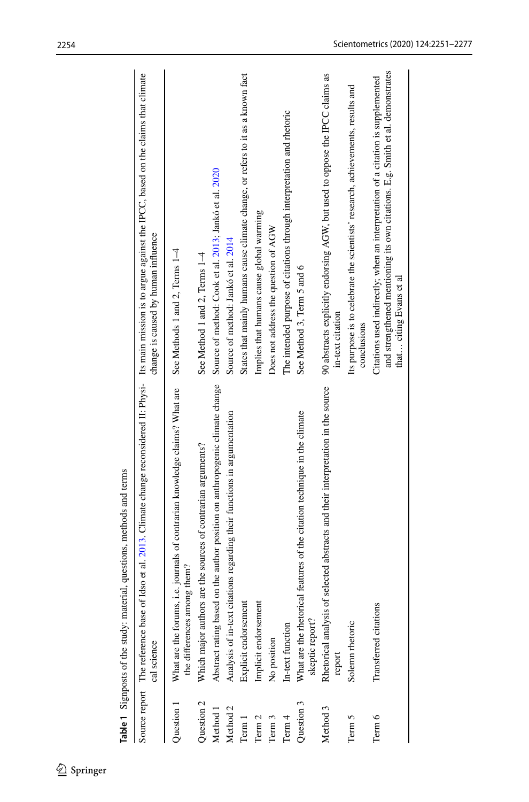|                     | lable 1 of algulposis of the study. Internal, questions, internous and terms                                                                                                               |                                                                                                                                                                                             |
|---------------------|--------------------------------------------------------------------------------------------------------------------------------------------------------------------------------------------|---------------------------------------------------------------------------------------------------------------------------------------------------------------------------------------------|
|                     | Source report The reference base of Idso et al. 2013. Climate change reconsidered H. Physi- Its main mission is to argue against the IPCC, based on the claims that climate<br>cal science | change is caused by human influence                                                                                                                                                         |
| Question 1          | What are the forums, i.e. journals of contrarian knowledge claims? What are<br>the differences among them?                                                                                 | See Methods 1 and 2, Terms 1-4                                                                                                                                                              |
| Question 2          | Which major authors are the sources of contrarian arguments?                                                                                                                               | See Method 1 and 2, Terms 1-4                                                                                                                                                               |
| Method 1            | Abstract rating based on the author position on anthropogenic climate change                                                                                                               | Source of method: Cook et al. 2013; Jankó et al. 2020                                                                                                                                       |
| Method <sub>2</sub> | Analysis of in-text citations regarding their functions in argumentation                                                                                                                   | Source of method: Jankó et al. 2014                                                                                                                                                         |
| Term 1              | Explicit endorsemen                                                                                                                                                                        | States that mainly humans cause climate change, or refers to it as a known fact                                                                                                             |
| Term <sub>2</sub>   | Implicit endorsemen                                                                                                                                                                        | Implies that humans cause global warming                                                                                                                                                    |
| Term 3              | No position                                                                                                                                                                                | Does not address the question of AGW                                                                                                                                                        |
| Term 4              | In-text function                                                                                                                                                                           | The intended purpose of citations through interpretation and rhetoric                                                                                                                       |
| Question 3          | cal features of the citation technique in the climate<br>What are the rhetori<br>skeptic report?                                                                                           | See Method 3, Term 5 and 6                                                                                                                                                                  |
| Method 3            | Rhetorical analysis of selected abstracts and their interpretation in the source<br>report                                                                                                 | 90 abstracts explicitly endorsing AGW, but used to oppose the IPCC claims as<br>in-text citation                                                                                            |
| Term 5              | Solemn rhetoric                                                                                                                                                                            | Its purpose is to celebrate the scientists' research, achievements, results and<br>conclusions                                                                                              |
| Term 6              | Transferred citations                                                                                                                                                                      | and strengthened mentioning its own citations. E.g. Smith et al. demonstrates<br>Citations used indirectly; when an interpretation of a citation is supplemented<br>that citing Evans et al |
|                     |                                                                                                                                                                                            |                                                                                                                                                                                             |

<span id="page-3-0"></span>**Table 1** Sigmposts of the study: material questions methods and terms **Table 1** Signposts of the study: material, questions, methods and terms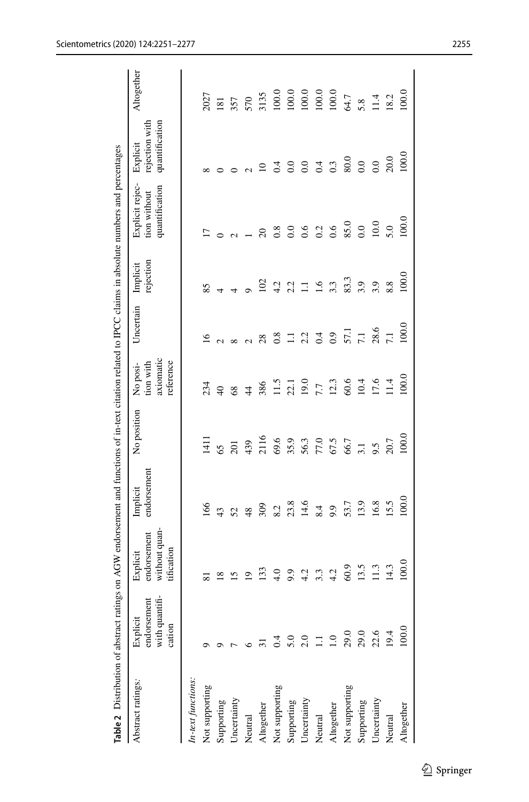<span id="page-4-0"></span>

| Table 2 Distribution of abstract ratin |                                                     | ags on AGW endorsement and functions of in-text citation related to IPCC claims in absolute numbers and percentages |                         |                      |                                                 |                                            |                                  |                                                   |                                              |                                                                             |
|----------------------------------------|-----------------------------------------------------|---------------------------------------------------------------------------------------------------------------------|-------------------------|----------------------|-------------------------------------------------|--------------------------------------------|----------------------------------|---------------------------------------------------|----------------------------------------------|-----------------------------------------------------------------------------|
| Abstract ratings:                      | endorsement<br>with quantifi-<br>Explicit<br>cation | without quan-<br>endorsement<br>tification<br>Explicit                                                              | endorsement<br>Implicit | No position          | axiomatic<br>reference<br>No posi-<br>tion with | Uncertain                                  | rejection<br>Implici             | Explicit rejec-<br>quantification<br>tion without | quantification<br>rejection with<br>Explicit | Altogether                                                                  |
| In-text functions:                     |                                                     |                                                                                                                     |                         |                      |                                                 |                                            |                                  |                                                   |                                              |                                                                             |
| Not supporting                         |                                                     |                                                                                                                     | 166                     | 141                  | 234                                             | $\overline{16}$                            | 85                               |                                                   |                                              | 2027                                                                        |
| Supporting                             |                                                     | $\infty$                                                                                                            | 43                      | 65                   | $\overline{Q}$                                  |                                            |                                  |                                                   |                                              | $\overline{181}$                                                            |
| Uncertainty                            |                                                     | $\overline{5}$                                                                                                      | 52                      | $\overline{5}$       | 68                                              |                                            |                                  |                                                   |                                              |                                                                             |
| Neutral                                |                                                     | $\overline{\mathsf{e}}$                                                                                             | 48                      | 439                  | $\frac{4}{3}$                                   |                                            |                                  |                                                   |                                              | 570                                                                         |
| Altogether                             |                                                     | 133                                                                                                                 | 309                     | 2116                 | 386                                             | 28                                         | 102                              | $\Omega$                                          | $\overline{10}$                              | 3135                                                                        |
| Not supporting                         | $\dot{ }$ .                                         | $\frac{0}{4}$                                                                                                       | 8.2                     | 69.6                 | 11.5                                            | 0.8                                        |                                  | 0.8                                               | 0.4                                          |                                                                             |
| Supporting                             | 5.0                                                 | 9.9                                                                                                                 | $23.8$<br>14.6          |                      | $22.1$<br>19.0                                  |                                            |                                  | 0.0                                               |                                              |                                                                             |
| Uncertainty                            | 2.0                                                 | 4.2                                                                                                                 |                         |                      |                                                 | $\frac{11}{2}$ $\frac{2}{3}$ $\frac{4}{4}$ | $4.2$<br>$2.2$<br>$1.1$<br>$1.6$ | 0.6                                               |                                              |                                                                             |
| Neutral                                |                                                     | 3.3                                                                                                                 | 8.4                     | 35.9<br>56.3<br>67.5 | 7.7                                             |                                            |                                  | $0.2$<br>0.6                                      | 0.043                                        | $\begin{array}{c} 100.0 \\ 100.0 \\ 100.0 \\ 100.0 \\ 100.0 \\ \end{array}$ |
| Altogether                             |                                                     | 4.2                                                                                                                 | 9.9                     |                      | 12.3                                            | $_{0.9}$                                   | 3.3                              |                                                   |                                              |                                                                             |
| Not supporting                         | 29.0                                                | 60.9                                                                                                                | 53.7                    | 66.7                 | 60.6                                            | 57.1                                       | 83.3                             | 85.0                                              | 80.0                                         | 64.7                                                                        |
| Supporting                             | 29.0                                                | 13.5                                                                                                                | 13.9                    | 3.1                  | 10.4<br>17.6                                    | $\overline{7.1}$                           | 3.9                              | $_{0.0}$                                          | $_{0.0}$                                     | 5.8<br>11.4<br>18.2                                                         |
| Uncertainty                            | 22.6                                                | $\Xi$                                                                                                               | 16.8                    | 9.5                  |                                                 | 28.6                                       | 3.9                              | 10.0                                              | $_{0.0}$                                     |                                                                             |
| Neutral                                | 19.4                                                | $\frac{4.3}{2}$                                                                                                     | 15.5                    | 20.7                 | 1.4                                             | $\overline{7.1}$                           | 8.8                              | 5.0                                               | 20.0                                         |                                                                             |
| Altogether                             | 100.0                                               | 100.0                                                                                                               | 100.0                   | 100.                 | 100(                                            | 100.                                       | 100.0                            | 100.                                              | 100(                                         | 100.0                                                                       |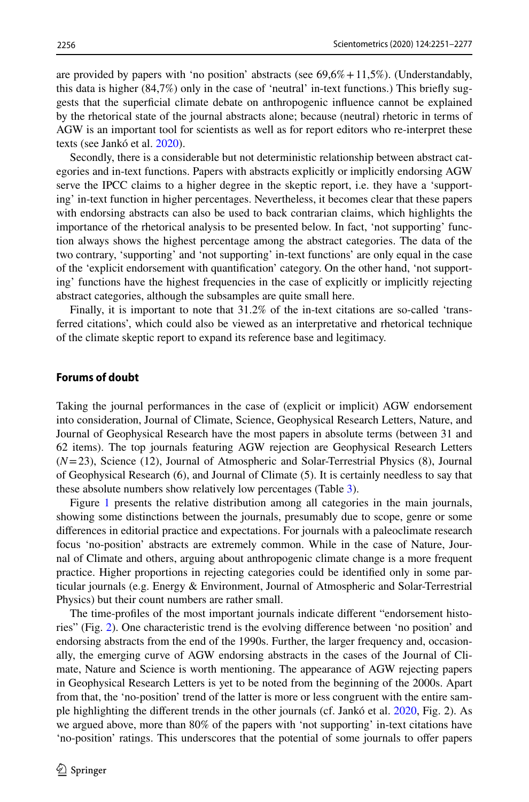are provided by papers with 'no position' abstracts (see  $69,6\% +11,5\%$ ). (Understandably, this data is higher (84,7%) only in the case of 'neutral' in-text functions.) This briefy suggests that the superfcial climate debate on anthropogenic infuence cannot be explained by the rhetorical state of the journal abstracts alone; because (neutral) rhetoric in terms of AGW is an important tool for scientists as well as for report editors who re-interpret these texts (see Jankó et al. [2020\)](#page-25-18).

Secondly, there is a considerable but not deterministic relationship between abstract categories and in-text functions. Papers with abstracts explicitly or implicitly endorsing AGW serve the IPCC claims to a higher degree in the skeptic report, i.e. they have a 'supporting' in-text function in higher percentages. Nevertheless, it becomes clear that these papers with endorsing abstracts can also be used to back contrarian claims, which highlights the importance of the rhetorical analysis to be presented below. In fact, 'not supporting' function always shows the highest percentage among the abstract categories. The data of the two contrary, 'supporting' and 'not supporting' in-text functions' are only equal in the case of the 'explicit endorsement with quantifcation' category. On the other hand, 'not supporting' functions have the highest frequencies in the case of explicitly or implicitly rejecting abstract categories, although the subsamples are quite small here.

Finally, it is important to note that 31.2% of the in-text citations are so-called 'transferred citations', which could also be viewed as an interpretative and rhetorical technique of the climate skeptic report to expand its reference base and legitimacy.

#### **Forums of doubt**

Taking the journal performances in the case of (explicit or implicit) AGW endorsement into consideration, Journal of Climate, Science, Geophysical Research Letters, Nature, and Journal of Geophysical Research have the most papers in absolute terms (between 31 and 62 items). The top journals featuring AGW rejection are Geophysical Research Letters (*N*=23), Science (12), Journal of Atmospheric and Solar-Terrestrial Physics (8), Journal of Geophysical Research (6), and Journal of Climate (5). It is certainly needless to say that these absolute numbers show relatively low percentages (Table [3](#page-6-0)).

Figure [1](#page-8-0) presents the relative distribution among all categories in the main journals, showing some distinctions between the journals, presumably due to scope, genre or some diferences in editorial practice and expectations. For journals with a paleoclimate research focus 'no-position' abstracts are extremely common. While in the case of Nature, Journal of Climate and others, arguing about anthropogenic climate change is a more frequent practice. Higher proportions in rejecting categories could be identifed only in some particular journals (e.g. Energy & Environment, Journal of Atmospheric and Solar-Terrestrial Physics) but their count numbers are rather small.

The time-profles of the most important journals indicate diferent "endorsement histories" (Fig. [2\)](#page-8-1). One characteristic trend is the evolving diference between 'no position' and endorsing abstracts from the end of the 1990s. Further, the larger frequency and, occasionally, the emerging curve of AGW endorsing abstracts in the cases of the Journal of Climate, Nature and Science is worth mentioning. The appearance of AGW rejecting papers in Geophysical Research Letters is yet to be noted from the beginning of the 2000s. Apart from that, the 'no-position' trend of the latter is more or less congruent with the entire sample highlighting the diferent trends in the other journals (cf. Jankó et al. [2020](#page-25-18), Fig. 2). As we argued above, more than 80% of the papers with 'not supporting' in-text citations have 'no-position' ratings. This underscores that the potential of some journals to ofer papers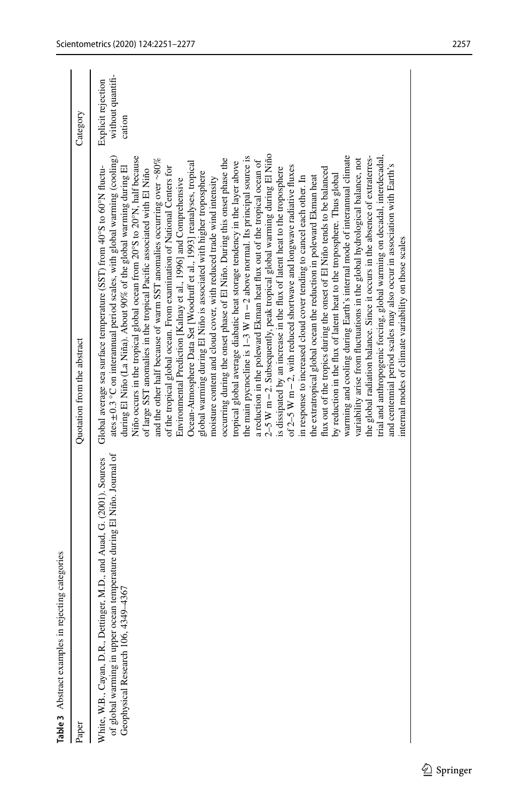<span id="page-6-0"></span>

| Table 3 Abstract examples in rejecting categories                                                                                                                                         |                                                                                                                                                                                                                                                                                                                                                                                                                                                                                                                                                                                                                                                                                                                                                                                                                                                                                                                                                                                                                                                                                                                                                                                                                                                                                                                                                                                                                                                                                                                                                                                                                                                                                                                                                                                                                                                                                                                                                                                                                                                                                                                                                                |                                                   |
|-------------------------------------------------------------------------------------------------------------------------------------------------------------------------------------------|----------------------------------------------------------------------------------------------------------------------------------------------------------------------------------------------------------------------------------------------------------------------------------------------------------------------------------------------------------------------------------------------------------------------------------------------------------------------------------------------------------------------------------------------------------------------------------------------------------------------------------------------------------------------------------------------------------------------------------------------------------------------------------------------------------------------------------------------------------------------------------------------------------------------------------------------------------------------------------------------------------------------------------------------------------------------------------------------------------------------------------------------------------------------------------------------------------------------------------------------------------------------------------------------------------------------------------------------------------------------------------------------------------------------------------------------------------------------------------------------------------------------------------------------------------------------------------------------------------------------------------------------------------------------------------------------------------------------------------------------------------------------------------------------------------------------------------------------------------------------------------------------------------------------------------------------------------------------------------------------------------------------------------------------------------------------------------------------------------------------------------------------------------------|---------------------------------------------------|
| Paper                                                                                                                                                                                     | Quotation from the abstract                                                                                                                                                                                                                                                                                                                                                                                                                                                                                                                                                                                                                                                                                                                                                                                                                                                                                                                                                                                                                                                                                                                                                                                                                                                                                                                                                                                                                                                                                                                                                                                                                                                                                                                                                                                                                                                                                                                                                                                                                                                                                                                                    | Category                                          |
| of global warming in upper ocean temperature during El Niño. Journal of<br>White, W.B., Cayan, D.R., Dettinger, M.D., and Auad, G. (2001). Sources<br>Geophysical Research 106, 4349-4367 | 2-5 W m-2. Subsequently, peak tropical global warming during El Niño<br>trial and anthropogenic forcing, global warming on decadal, interdecadal,<br>Niño occurs in the tropical global ocean from 20°S to 20°N, half because<br>the main pycnocline is $1-3$ W $m-2$ above normal. Its principal source is<br>warming and cooling during Earth's internal mode of interannual climate<br>the global radiation balance. Since it occurs in the absence of extraterres-<br>ates $\pm$ 0.3 °C on interannual period scales, with global warming (cooling)<br>and the other half because of warm SST anomalies occurring over $\sim80\%$<br>occurring during the onset phase of El Niño. During this onset phase the<br>variability arise from fluctuations in the global hydrological balance, not<br>a reduction in the poleward Ekman heat flux out of the tropical ocean of<br>tropical global average diabatic heat storage tendency in the layer above<br>Ocean-Atmosphere Data Set [Woodruff et al., 1993] reanalyses, tropical<br>and centennial period scales may also occur in association with Earth's<br>during El Niño (La Niña). About 90% of the global warming during El<br>Global average sea surface temperature (SST) from 40°S to 60°N fluctu-<br>of $2-5$ W $m-2$ , with reduced shortwave and longwave radiative fluxes<br>of the tropical global ocean. From examination of National Centers for<br>flux out of the tropics during the onset of El Niño tends to be balanced<br>is dissipated by an increase in the flux of latent heat to the troposphere<br>of large SST anomalies in the tropical Pacific associated with El Niño<br>global warming during El Niño is associated with higher troposphere<br>by reduction in the flux of latent heat to the troposphere. Thus global<br>the extratropical global ocean the reduction in poleward Ekman heat<br>in response to increased cloud cover tending to cancel each other. In<br>moisture content and cloud cover, with reduced trade wind intensity<br>Environmental Prediction [Kalnay et al., 1996] and Comprehensive<br>internal modes of climate variability on those scales | without quantifi-<br>Explicit rejection<br>cation |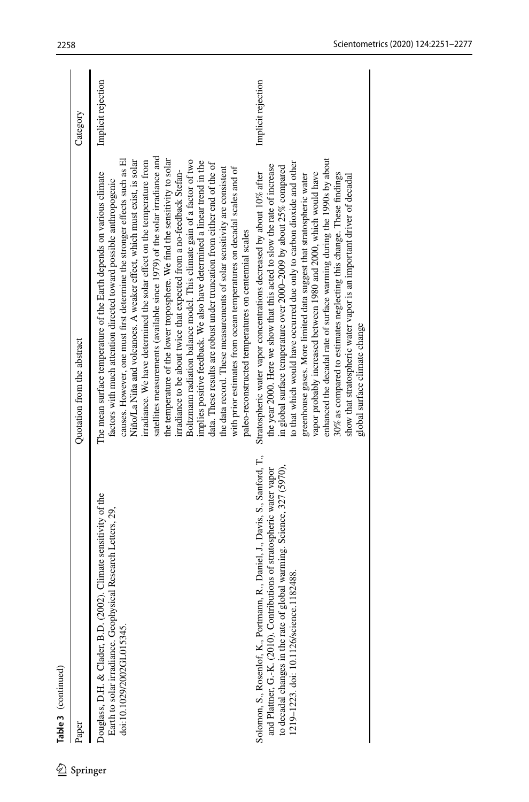|          | Table 3 (continued)                                                                                                                                                                                                                                                             |                                                                                                                                                                                                                                                                                                                                                                                                                                                                                                                                                                                                                                                                                                                                                                                                                                                                                                                                                                                                                                                                     |                    |
|----------|---------------------------------------------------------------------------------------------------------------------------------------------------------------------------------------------------------------------------------------------------------------------------------|---------------------------------------------------------------------------------------------------------------------------------------------------------------------------------------------------------------------------------------------------------------------------------------------------------------------------------------------------------------------------------------------------------------------------------------------------------------------------------------------------------------------------------------------------------------------------------------------------------------------------------------------------------------------------------------------------------------------------------------------------------------------------------------------------------------------------------------------------------------------------------------------------------------------------------------------------------------------------------------------------------------------------------------------------------------------|--------------------|
|          | Paper                                                                                                                                                                                                                                                                           | Quotation from the abstract                                                                                                                                                                                                                                                                                                                                                                                                                                                                                                                                                                                                                                                                                                                                                                                                                                                                                                                                                                                                                                         | Category           |
| Springer | 02). Climate sensitivity of the<br>Earth to solar irradiance. Geophysical Research Letters, 29,<br>Douglass, D.H. & Clader, B.D. (20<br>doi:10.1029/2002GL015345.                                                                                                               | satellites measurements (available since 1979) of the solar irradiance and<br>the temperature of the lower troposphere. We find the sensitivity to solar<br>causes. However, one must first determine the stronger effects such as El<br>Niño/La Niña and volcanoes. A weaker effect, which must exist, is solar<br>Boltzmann radiation balance model. This climate gain of a factor of two<br>irradiance. We have determined the solar effect on the temperature from<br>implies positive feedback. We also have determined a linear trend in the<br>data. These results are robust under truncation from either end of the of<br>the data record. These measurements of solar sensitivity are consistent<br>with prior estimates from ocean temperatures on decadal scales and of<br>irradiance to be about twice that expected from a no-feedback Stefan-<br>The mean surface temperature of the Earth depends on various climate<br>factors with much attention directed toward possible anthropogenic<br>paleo-reconstructed temperatures on centennial scales | Implicit rejection |
|          | Solomon, S., Rosenlof, K., Portmann, R., Daniel, J., Davis, S., Sanford, T.,<br>to decadal changes in the rate of global warming. Science, 327 (5970),<br>and Plattner, G.-K. (2010). Contributions of stratospheric water vapor<br>1182488<br>1219-1223. doi: 10.1126/science. | enhanced the decadal rate of surface warming during the 1990s by about<br>to that which would have occurred due only to carbon dioxide and other<br>the year 2000. Here we show that this acted to slow the rate of increase<br>in global surface temperature over 2000-2009 by about 25% compared<br>Stratospheric water vapor concentrations decreased by about 10% after<br>vapor probably increased between 1980 and 2000, which would have<br>30% as compared to estimates neglecting this change. These findings<br>show that stratospheric water vapor is an important driver of decadal<br>greenhouse gases. More limited data suggest that stratospheric water<br>global surface climate change                                                                                                                                                                                                                                                                                                                                                            | Implicit rejection |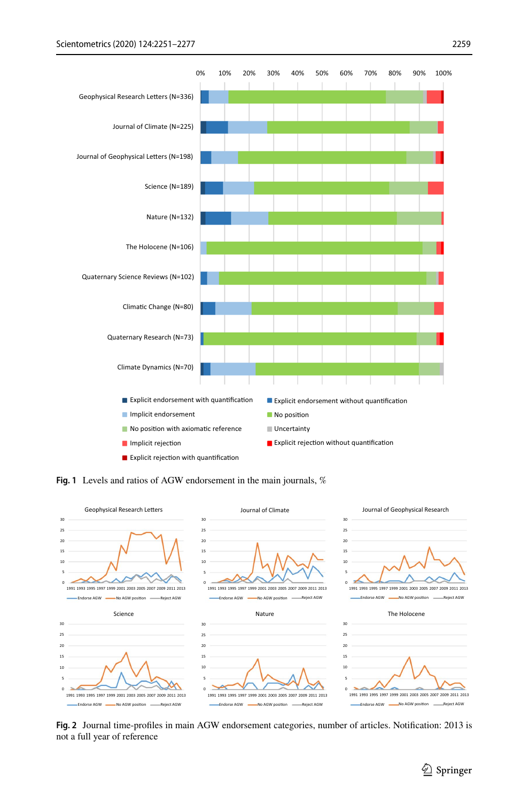

<span id="page-8-0"></span>**Fig. 1** Levels and ratios of AGW endorsement in the main journals, %



<span id="page-8-1"></span>**Fig. 2** Journal time-profles in main AGW endorsement categories, number of articles. Notifcation: 2013 is not a full year of reference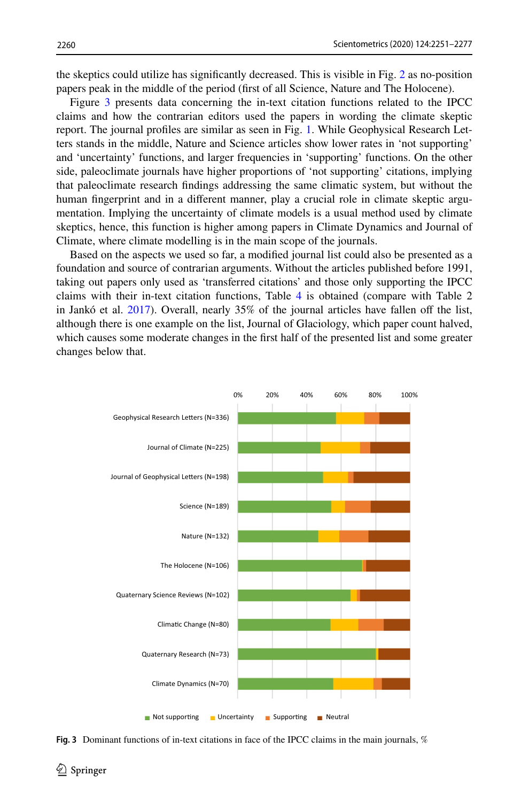the skeptics could utilize has signifcantly decreased. This is visible in Fig. [2](#page-8-1) as no-position papers peak in the middle of the period (frst of all Science, Nature and The Holocene).

Figure [3](#page-9-0) presents data concerning the in-text citation functions related to the IPCC claims and how the contrarian editors used the papers in wording the climate skeptic report. The journal profles are similar as seen in Fig. [1.](#page-8-0) While Geophysical Research Letters stands in the middle, Nature and Science articles show lower rates in 'not supporting' and 'uncertainty' functions, and larger frequencies in 'supporting' functions. On the other side, paleoclimate journals have higher proportions of 'not supporting' citations, implying that paleoclimate research fndings addressing the same climatic system, but without the human fngerprint and in a diferent manner, play a crucial role in climate skeptic argumentation. Implying the uncertainty of climate models is a usual method used by climate skeptics, hence, this function is higher among papers in Climate Dynamics and Journal of Climate, where climate modelling is in the main scope of the journals.

Based on the aspects we used so far, a modifed journal list could also be presented as a foundation and source of contrarian arguments. Without the articles published before 1991, taking out papers only used as 'transferred citations' and those only supporting the IPCC claims with their in-text citation functions, Table [4](#page-10-0) is obtained (compare with Table 2 in Jankó et al.  $2017$ ). Overall, nearly 35% of the journal articles have fallen off the list, although there is one example on the list, Journal of Glaciology, which paper count halved, which causes some moderate changes in the frst half of the presented list and some greater changes below that.



<span id="page-9-0"></span>**Fig. 3** Dominant functions of in-text citations in face of the IPCC claims in the main journals, %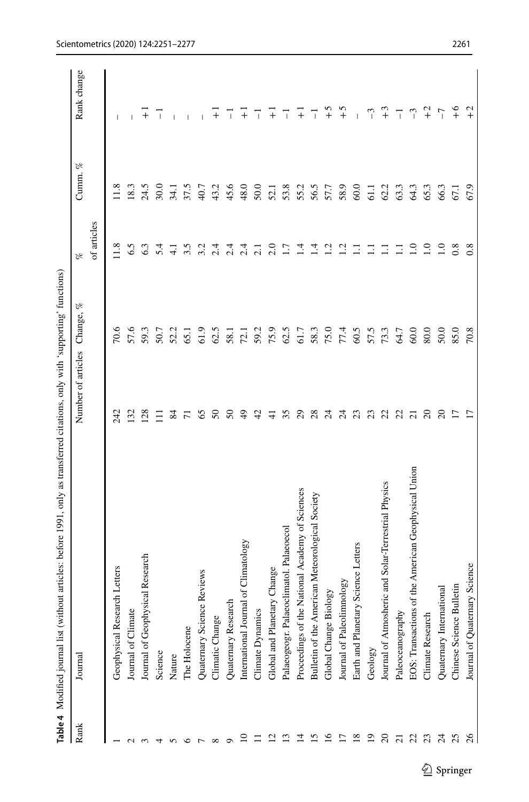<span id="page-10-0"></span>

| j                                                                                                           |
|-------------------------------------------------------------------------------------------------------------|
| i<br>l                                                                                                      |
| j<br>j                                                                                                      |
| i                                                                                                           |
| Ì                                                                                                           |
| ֖֖֖֖֧ׅ֪ׅ֖֧ׅ֖֧֪ׅ֪ׅ֪ׅ֚֚֚֚֚֚֚֚֚֚֚֚֚֚֚֚֚֚֚֚֚֚֚֚֚֚֚֚֚֚֚֬֝֝֝֬֓֝֬֓֬֝֬֝֬֓֬                                          |
|                                                                                                             |
| ;<br>;                                                                                                      |
|                                                                                                             |
|                                                                                                             |
|                                                                                                             |
| ĺ<br>٦T<br>أ<br>֧֧֧֧֧֧֦֧֦֧֧ׅ֧֧֧ׅ֧֧ׅ֧֧֧֧֧֧֧֧֧֚֚֚֚֚֚֚֚֚֚֚֚֚֚֚֚֚֚֚֝֝֓֝֬֝֬֝֬֝֬֝֬֝֬֜֓֝֬֝֬֜֓֝֬֜֓֝֬֝֬֝֬֝֬֝֬֝֬<br>I |

|                 | Table 4 Modified journal list (without articles: before 1991, only as transferred citations, only with 'supporting' functions) |                    |              |                  |                        |              |
|-----------------|--------------------------------------------------------------------------------------------------------------------------------|--------------------|--------------|------------------|------------------------|--------------|
| Rank            | Journal                                                                                                                        | Number of articles | æ<br>Change, | $\mathscr{C}$    | $\mathscr{C}$<br>Cumm. | Rank change  |
|                 |                                                                                                                                |                    |              | of articles      |                        |              |
|                 | Geophysical Research Letters                                                                                                   | 242                | 70.6         | 11.8             | 11.8                   |              |
|                 | Journal of Climate                                                                                                             | 132                | 57.6         | 6.5              | 18.3                   |              |
|                 | Journal of Geophysical Research                                                                                                | 128                | 59.3         | 6.3              | 24.5                   | $\ddot{}$    |
|                 | Science                                                                                                                        | Ξ                  | 50.7         | 5.4              | 30.0                   | $\mathbf{I}$ |
|                 | Nature                                                                                                                         | $\mathfrak{A}$     | 52.2         | コ                | $-34.1$                |              |
|                 | The Holocene                                                                                                                   | $\overline{r}$     | 65.1         | 3.5              | 37.5                   |              |
|                 | Reviews<br>Quaternary Science                                                                                                  | 65                 | 61.9         | 3.2              | 40.7                   |              |
|                 | Climatic Change                                                                                                                | $50^{\circ}$       | 62.5         | 2.4              | 43.2                   | $^{+}$       |
|                 | Quaternary Research                                                                                                            | 2                  | 58.          | 2.4              | 45.6                   | T            |
| $\Xi$           | International Journal of Climatology                                                                                           | $\frac{6}{5}$      | 72.1         | 2.4              | 48.0                   | Ŧ            |
| $\equiv$        | Climate Dynamics                                                                                                               | $\sigma$           | 59.2         | $\overline{c}$   | 50.0                   | ℸ            |
| $\overline{c}$  | Global and Planetary Change                                                                                                    | $\pm$              | 75.9         | $\frac{0}{2}$    | 52.1                   | $^{-}$       |
| $\mathbf{r}$    | Palaeogeogr. Palaeoclimatol. Palaeoecol                                                                                        | 35                 | 62.5         | $\overline{1.7}$ | 53.8                   | T            |
| $\overline{4}$  | Proceedings of the National Academy of Sciences                                                                                | $\mathcal{S}$      | 61.7         | 1.4              | 55.2                   | Ŧ            |
| 15              | Bulletin of the American Meteorological Society                                                                                | 28                 | 58.3         | $\overline{14}$  | 56.5                   | T            |
| $\overline{16}$ | Global Change Biology                                                                                                          | 54                 | 75.0         | 1.2              | 57.7                   | $\tilde{c}$  |
| $\overline{17}$ | Journal of Paleolimnology                                                                                                      | $\mathbb{Z}^4$     | 77.4         | 1.2              | 58.9                   | $\tilde{c}$  |
| 18              | Science Letters<br>Earth and Planetary                                                                                         | 23                 | 60.5         | Ξ                | 60.0                   | I            |
| $\overline{19}$ | Geology                                                                                                                        | 23                 | 57.5         | Ξ                | $\overline{5}$         | $\tilde{c}$  |
| $\overline{c}$  | Journal of Atmosheric and Solar-Terrestrial Physics                                                                            | 22                 | 73.3         | Ξ                | 62.2                   | $+3$         |
| $\overline{c}$  | Paleoceanography                                                                                                               | $\overline{c}$     | 64.7         | Ξ                | 63.3                   | 7            |
| 22              | of the American Geophysical Union<br><b>EOS:</b> Transactions                                                                  | $\overline{c}$     | 60.0         | $\frac{0}{1}$    | 64.3                   | $^{-3}$      |
| 23              | Climate Research                                                                                                               | $\overline{c}$     | 80.0         | $\overline{1.0}$ | 65.3                   | $2 +$        |
| $\mathcal{Z}$   | Quaternary International                                                                                                       | $\overline{c}$     | 50.0         | $\Xi$            | 66.3                   | $-7$         |
| 25              | Chinese Science Bulletin                                                                                                       | $\overline{1}$     | 85.0         | 0.8              | $\overline{5}$         | $+6$         |
| $\frac{26}{5}$  | Journal of Quaternary Science                                                                                                  | $\overline{1}$     | 70.8         | $0.\overline{8}$ | 67.9                   | $+2$         |
|                 |                                                                                                                                |                    |              |                  |                        |              |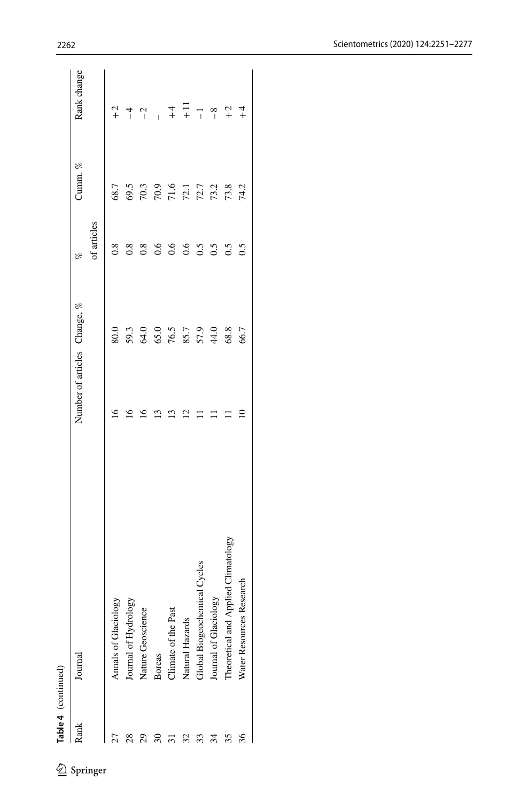| Rank         | Journal                                 |                 | Number of articles Change, %         | P6          | Cumm. %                    | Rank change             |
|--------------|-----------------------------------------|-----------------|--------------------------------------|-------------|----------------------------|-------------------------|
|              |                                         |                 |                                      | of articles |                            |                         |
| J            | Annals of Glaciology                    | $\overline{16}$ | 80.0                                 | 0.8         | 68.7                       | $+2$                    |
| 28           | Journal of Hydrology                    | ٩               |                                      | $_{0.8}$    | 69.5                       | $\overline{1}$          |
| $\mathbf{S}$ | Nature Geoscience                       |                 |                                      | 0.8         | 70.3                       | $\sim$                  |
| Z            | <b>Boreas</b>                           | S               |                                      | 0.6         | 70.9                       |                         |
|              | Climate of the Past                     | ര               |                                      | 0.6         |                            |                         |
|              | Natural Hazards                         | ₫               |                                      | 0.6         |                            | $+$ $+$                 |
| 33           | Global Biogeochemical Cycles            |                 | 59.3<br>GSO 76.5<br>TSO 78.5<br>44.0 | 0.5         | $71.6$<br>$72.1$<br>$73.2$ | $\overline{\mathrm{L}}$ |
| 34           | χĝ<br>Journal of Glaciolo               |                 |                                      | 0.5         |                            | $-8$                    |
| 35           | limatology<br>Theoretical and Applied ( |                 | 68.8                                 | 0.5         | 73.8                       | $\widetilde{c}$         |
| 36           | esearcl<br>Water Resources <b>K</b>     |                 | 66.7                                 | 0.5         | 74.2                       | $\frac{1}{4}$           |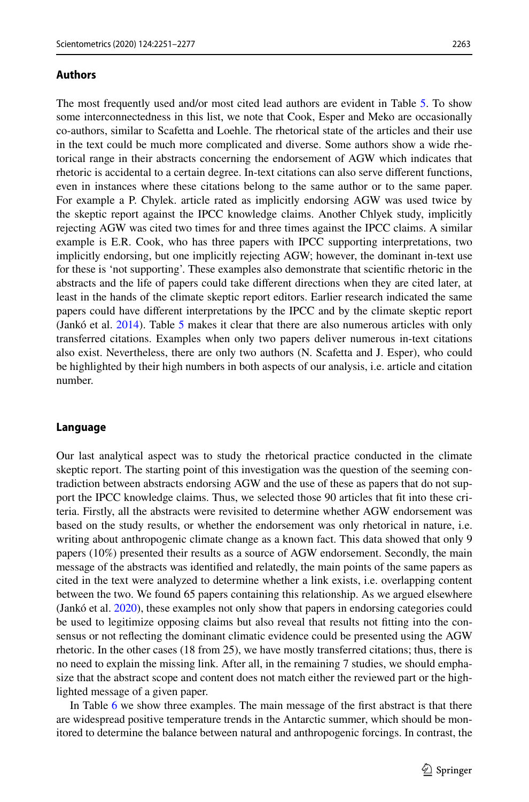#### **Authors**

The most frequently used and/or most cited lead authors are evident in Table [5.](#page-13-0) To show some interconnectedness in this list, we note that Cook, Esper and Meko are occasionally co-authors, similar to Scafetta and Loehle. The rhetorical state of the articles and their use in the text could be much more complicated and diverse. Some authors show a wide rhetorical range in their abstracts concerning the endorsement of AGW which indicates that rhetoric is accidental to a certain degree. In-text citations can also serve diferent functions, even in instances where these citations belong to the same author or to the same paper. For example a P. Chylek. article rated as implicitly endorsing AGW was used twice by the skeptic report against the IPCC knowledge claims. Another Chlyek study, implicitly rejecting AGW was cited two times for and three times against the IPCC claims. A similar example is E.R. Cook, who has three papers with IPCC supporting interpretations, two implicitly endorsing, but one implicitly rejecting AGW; however, the dominant in-text use for these is 'not supporting'. These examples also demonstrate that scientifc rhetoric in the abstracts and the life of papers could take diferent directions when they are cited later, at least in the hands of the climate skeptic report editors. Earlier research indicated the same papers could have diferent interpretations by the IPCC and by the climate skeptic report (Jankó et al. [2014\)](#page-25-14). Table [5](#page-13-0) makes it clear that there are also numerous articles with only transferred citations. Examples when only two papers deliver numerous in-text citations also exist. Nevertheless, there are only two authors (N. Scafetta and J. Esper), who could be highlighted by their high numbers in both aspects of our analysis, i.e. article and citation number.

#### **Language**

Our last analytical aspect was to study the rhetorical practice conducted in the climate skeptic report. The starting point of this investigation was the question of the seeming contradiction between abstracts endorsing AGW and the use of these as papers that do not support the IPCC knowledge claims. Thus, we selected those 90 articles that ft into these criteria. Firstly, all the abstracts were revisited to determine whether AGW endorsement was based on the study results, or whether the endorsement was only rhetorical in nature, i.e. writing about anthropogenic climate change as a known fact. This data showed that only 9 papers (10%) presented their results as a source of AGW endorsement. Secondly, the main message of the abstracts was identifed and relatedly, the main points of the same papers as cited in the text were analyzed to determine whether a link exists, i.e. overlapping content between the two. We found 65 papers containing this relationship. As we argued elsewhere (Jankó et al. [2020\)](#page-25-18), these examples not only show that papers in endorsing categories could be used to legitimize opposing claims but also reveal that results not ftting into the consensus or not refecting the dominant climatic evidence could be presented using the AGW rhetoric. In the other cases (18 from 25), we have mostly transferred citations; thus, there is no need to explain the missing link. After all, in the remaining 7 studies, we should emphasize that the abstract scope and content does not match either the reviewed part or the highlighted message of a given paper.

In Table [6](#page-15-0) we show three examples. The main message of the frst abstract is that there are widespread positive temperature trends in the Antarctic summer, which should be monitored to determine the balance between natural and anthropogenic forcings. In contrast, the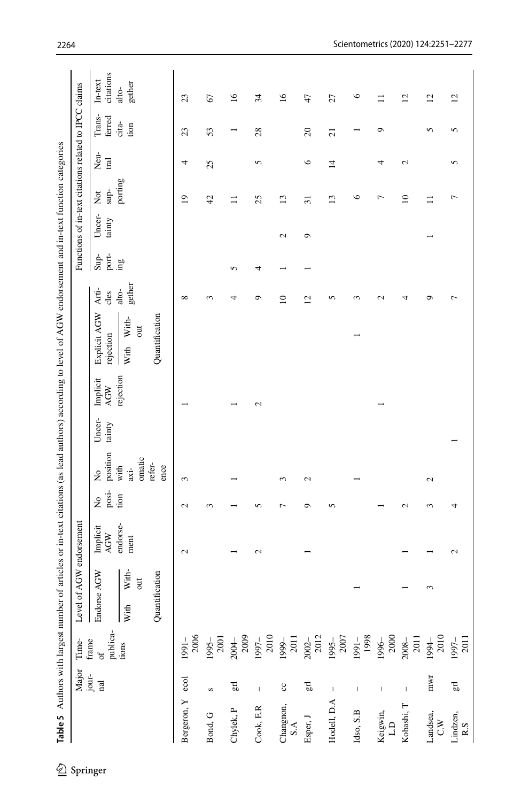<span id="page-13-0"></span>

|                         | Major<br>jour-           | Time-                   | of AGW endorsement<br>Level     |                        |                      |                                  |                  |                 |                                        |                 |                 | Functions of in-text citations related to IPCC claims |                              |                |                  |                        |
|-------------------------|--------------------------|-------------------------|---------------------------------|------------------------|----------------------|----------------------------------|------------------|-----------------|----------------------------------------|-----------------|-----------------|-------------------------------------------------------|------------------------------|----------------|------------------|------------------------|
|                         | $_{\rm{rad}}$            | publica-<br>frame<br>of | rse AGW<br>Endor                | Implicit<br><b>AGW</b> | posi-<br>$\tilde{z}$ | position<br>$\tilde{\mathbf{z}}$ | Uncer-<br>tainty | Implicit<br>AGW | Explicit AGW<br>rejection              | Arti-<br>cles   | port-<br>$Sup-$ | Uncer-<br>tainty                                      | $\sup$ -<br>$\sum_{i=1}^{n}$ | Neu-<br>Iral   | Trans-<br>ferred | citations<br>$In-text$ |
|                         |                          | tions                   | With-<br>$\overline{a}$<br>With | endorse-<br>ment       | tion                 | omatic<br>with<br>axi-           |                  | rejection       | With With-<br>$\overline{\phantom{a}}$ | gether<br>alto- | ğπ.             |                                                       | porting                      |                | cita-<br>tion    | gether<br>$ato-$       |
|                         |                          |                         | Quantification                  |                        |                      | refer-<br>ence                   |                  |                 | Quantification                         |                 |                 |                                                       |                              |                |                  |                        |
| Bergeron, Y ecol        |                          | 2006<br>1991-           |                                 | $\mathcal{L}$          | Z                    | 3                                |                  |                 |                                        | $\infty$        |                 |                                                       | $\overline{1}$               | 4              | 23               | 23                     |
| Bond, G                 | S                        | 2001<br>1995-           |                                 |                        | $\sim$               |                                  |                  |                 |                                        | $\sim$          |                 |                                                       | $\overline{4}$               | 25             | 53               | 67                     |
| Chylek, P               | E,                       | 2009<br>2004-           |                                 |                        |                      |                                  |                  |                 |                                        | 4               | 5               |                                                       | Ξ                            |                |                  | $\frac{6}{2}$          |
| ${\sf Cook}, {\sf E.R}$ | $\overline{1}$           | $2010\,$<br>1997-       |                                 | 2                      | 5                    |                                  |                  | $\mathbf{c}$    |                                        | ç               | 4               |                                                       | 25                           | 5              | 28               | 34                     |
| Changnon, $S.A$         | $\mathbf{c}$             | 2011<br>1999-           |                                 |                        | ∼                    | 3                                |                  |                 |                                        | $\supseteq$     |                 | 2                                                     | 13                           |                |                  | $\overline{16}$        |
| Esper, J                | $\Xi$                    | $2002 -$<br>$2012$      |                                 |                        | Ō                    | 2                                |                  |                 |                                        | $\overline{c}$  |                 | ٥                                                     | $\overline{5}$               | $\circ$        | $\Omega$         | 47                     |
| Hodell, D.A             | $\mathsf I$              | $1995 - 2007$           |                                 |                        | 5                    |                                  |                  |                 |                                        | 5               |                 |                                                       | $\mathbf{r}$                 | $\overline{1}$ | $\overline{c}$   | 27                     |
| Idso, S.B               | $\overline{\phantom{a}}$ | 1998<br>$1991 -$        |                                 |                        |                      |                                  |                  |                 |                                        | $\sim$          |                 |                                                       | $\circ$                      |                |                  | $\circ$                |
| Keigwin,<br>L.D         | $\mathsf I$              | 2000<br>1996-           |                                 |                        |                      |                                  |                  |                 |                                        | $\sim$          |                 |                                                       | Γ                            | 4              | ٥                | $\Xi$                  |
| Kobashi, T              | $\mathsf I$              | 2011<br>2008-           |                                 |                        | $\mathbf{\sim}$      |                                  |                  |                 |                                        | 4               |                 |                                                       | $\supseteq$                  | $\mathbf{c}$   |                  | $\overline{c}$         |
| Landsea,<br>C.W         | mwr                      | 2010<br>1994-           | 3                               |                        | $\sim$               | 2                                |                  |                 |                                        | Ō               |                 |                                                       |                              |                | 5                | $\overline{c}$         |
| Lindzen,<br>$R.S$       | $E_{\rm g}$              | 1997-<br>2011           |                                 | $\mathbf{C}$           | 4                    |                                  |                  |                 |                                        |                 |                 |                                                       | ↽                            | 5              | 5                | $\overline{c}$         |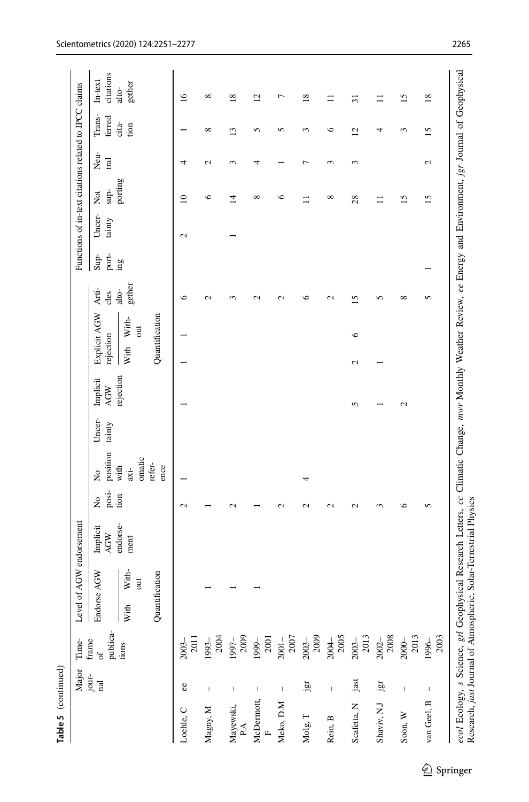|                            | Major<br>jour-           | Time-                           | Level                                     | of AGW endorsement |                  |                       |                  |                 |                           |                                   |                   |                 |                  | Functions of in-text citations related to IPCC claims |              |                  |                        |
|----------------------------|--------------------------|---------------------------------|-------------------------------------------|--------------------|------------------|-----------------------|------------------|-----------------|---------------------------|-----------------------------------|-------------------|-----------------|------------------|-------------------------------------------------------|--------------|------------------|------------------------|
|                            | nal                      | publica-<br>frame<br>$\sigma f$ | Endorse AGW                               | Implicit<br>AGW    | posi-<br>Σò      | position<br>Σò        | Uncer-<br>tainty | Implicit<br>AGW | Explicit AGW<br>rejection |                                   | Arti-<br>cles     | port-<br>$Sup-$ | Uncer-<br>tainty | sup-<br>$\sum_{i=1}^{n}$                              | Neu-<br>Iral | Trans-<br>ferred | citations<br>$In-text$ |
|                            |                          | tions                           | With-<br>$\overline{\phantom{a}}$<br>With | endorse-<br>ment   | tion             | omatic<br>with<br>ixi |                  | rejection       | With                      | With-<br>$\overline{\phantom{a}}$ | gether<br>alto-   | $\lim_{\delta}$ |                  | porting                                               |              | cita-<br>tion    | gether<br>alto-        |
|                            |                          |                                 | Quantification                            |                    |                  | refer-<br>ence        |                  |                 | Quantification            |                                   |                   |                 |                  |                                                       |              |                  |                        |
| Loehle, C                  | ec                       | 2011<br>$2003 -$                |                                           |                    | $\mathbf{C}$     |                       |                  |                 |                           |                                   | $\circ$           |                 | $\mathbf{C}$     | $\supseteq$                                           | 4            |                  | $\overline{16}$        |
| Magny, M                   | $\mathsf I$              | 2004<br>1993-                   |                                           |                    |                  |                       |                  |                 |                           |                                   | 2                 |                 |                  | ७                                                     | 2            | ${}^{\circ}$     | ${}^{\circ}$           |
| Mayewski,<br>P.A           | $\mathbf{I}$             | 1997-2009                       |                                           |                    | $\mathrel{\sim}$ |                       |                  |                 |                           |                                   | ∽                 |                 |                  | 4                                                     | 3            | $\overline{13}$  | $\overline{18}$        |
| McDermott,<br>$\mathbf{r}$ | $\mathsf I$              | 2001<br>1999-                   |                                           |                    |                  |                       |                  |                 |                           |                                   | 2                 |                 |                  | $\infty$                                              | 4            | 5                | $\overline{c}$         |
| Meko, D.M                  | $\mathsf I$              | 2007<br>$2001 -$                |                                           |                    | $\mathbf{c}$     |                       |                  |                 |                           |                                   | 2                 |                 |                  | $\bullet$                                             |              | 5                | Γ                      |
| Molg, $\mathbf T$          | jgr                      | $2003 -$<br>$2009$              |                                           |                    | 2                | 4                     |                  |                 |                           |                                   | ७                 |                 |                  |                                                       | Γ            | 3                | $\overline{18}$        |
| Rein, B                    | $\overline{1}$           | $2004 - 2005$                   |                                           |                    | $\mathbf{C}$     |                       |                  |                 |                           |                                   | $\mathbf{\Omega}$ |                 |                  | $\infty$                                              | 3            | $\circ$          | Ξ                      |
| Scafetta, N                | jast                     | 2013<br>$2003 -$                |                                           |                    | 2                |                       |                  | 5               | $\mathbf{C}$              | $\circ$                           | $\overline{15}$   |                 |                  | 28                                                    | 3            | $\overline{12}$  | $\overline{31}$        |
| Shaviv, N.J                | jgr                      | 2008<br>$2002 -$                |                                           |                    | 3                |                       |                  |                 |                           |                                   | 5                 |                 |                  | $\Box$                                                |              | 4                | $\equiv$               |
| Soon, W                    | $\mathsf I$              | 2013<br>2000-                   |                                           |                    | ७                |                       |                  | 2               |                           |                                   | ${}^{\circ}$      |                 |                  | 15                                                    |              | 3                | $\overline{15}$        |
| van Geel, B                | $\mathord{\text{\rm I}}$ | 2003<br>1996-                   |                                           |                    | 5                |                       |                  |                 |                           |                                   | 5                 |                 |                  | $\overline{15}$                                       | 2            | $\overline{15}$  | $\overline{18}$        |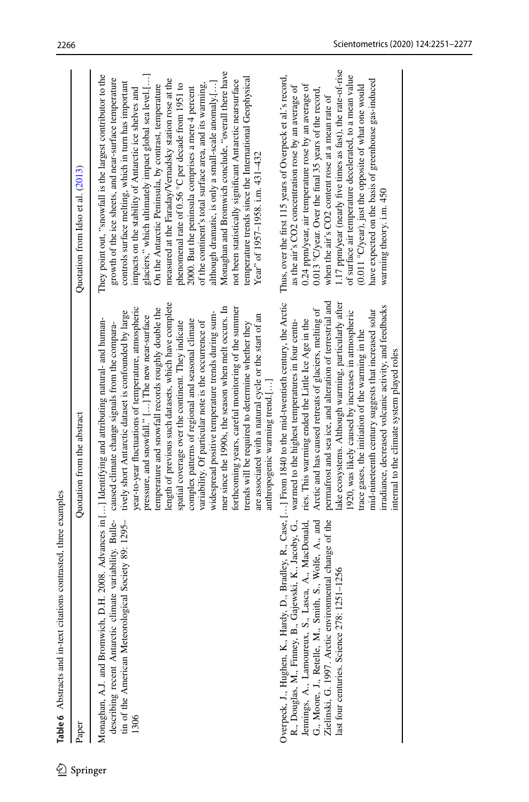<span id="page-15-0"></span>Table 6 Abstracts and in-text citations contrasted, three examples

| Paper                                                                                                                                                                                                                                                                                                                | Quotation from the abstract                                                                                                                                                                                                                                                                                                                                                                                                                                                                                                                                                                                                                                                                                                                                                                                                                            | Quotation from Idso et al. (2013)                                                                                                                                                                                                                                                                                                                                                                                                                                                                                                                                                                                                                                                                                                                                                                                                                                 |
|----------------------------------------------------------------------------------------------------------------------------------------------------------------------------------------------------------------------------------------------------------------------------------------------------------------------|--------------------------------------------------------------------------------------------------------------------------------------------------------------------------------------------------------------------------------------------------------------------------------------------------------------------------------------------------------------------------------------------------------------------------------------------------------------------------------------------------------------------------------------------------------------------------------------------------------------------------------------------------------------------------------------------------------------------------------------------------------------------------------------------------------------------------------------------------------|-------------------------------------------------------------------------------------------------------------------------------------------------------------------------------------------------------------------------------------------------------------------------------------------------------------------------------------------------------------------------------------------------------------------------------------------------------------------------------------------------------------------------------------------------------------------------------------------------------------------------------------------------------------------------------------------------------------------------------------------------------------------------------------------------------------------------------------------------------------------|
| describing recent Antarctic climate variability. Bulle-caused climate change signals from the compara-<br>cal Society 89: 1295-<br>Monaghan, A.J. and Bromwich, D.<br>tin of the American Meteorologi<br>1306                                                                                                        | length of previous such datasets, which have complete<br>mer since the 1990s, the season when melt occurs. In<br>year-to-year fluctuations of temperature, atmospheric<br>forthcoming years, careful monitoring of the summer<br>temperature and snowfall records roughly double the<br>tively short Antarctic dataset is confounded by large<br>widespread positive temperature trends during sum-<br>are associated with a natural cycle or the start of an<br>pressure, and snowfall." [] The new near-surface<br>H. 2008. Advances in [] Identifying and attributing natural- and human-<br>complex patterns of regional and seasonal climate<br>variability. Of particular note is the occurrence of<br>spatial coverage over the continent. They indicate<br>trends will be required to determine whether they<br>anthropogenic warming trend.[] | Monaghan and Bromwich conclude, "overall there have<br>They point out, "snowfall is the largest contributor to the<br>glaciers," which ultimately impact global sea level.[]<br>temperature trends since the International Geophysical<br>growth of the ice sheets, and near-surface temperature<br>measured at the Faraday/Vernadsky station rose at the<br>not been statistically significant Antarctic nearsurface<br>although dramatic, is only a small-scale anomaly.[]<br>controls surface melting, which in turn has important<br>phenomenal rate of 0.56 °C per decade from 1951 to<br>On the Antarctic Peninsula, by contrast, temperature<br>of the continent's total surface area, and its warming,<br>2000. But the peninsula comprises a mere 4 percent<br>impacts on the stability of Antarctic ice shelves and<br>Year" of 1957-1958. i.m. 431-432 |
| R., Douglas, M., Finney, B., Gajewski, K., Jacoby, G.,<br>Jennings, A., Lamoureux, S., Lasca, A., MacDonald,<br>G., Moore, J., Retelle, M., Smith, S., Wolfe, A., and<br>Zielinski, G. 1997. Arctic environmental change of the<br>251-1256<br>Overpeck, J., Hughen, K., Hardy,<br>last four centuries. Science 278: | D., Bradley, R., Case, [] From 1840 to the mid-twentieth century, the Arctic<br>permafrost and sea ice, and alteration of terrestrial and<br>lake ecosystems. Although warming, particularly after<br>irradiance, decreased volcanic activity, and feedbacks<br>Arctic and has caused retreats of glaciers, melting of<br>mid-nineteenth century suggests that increased solar<br>1920, was likely caused by increases in atmospheric<br>ries. This warming ended the Little Ice Age in the<br>warmed to the highest temperatures in four centu-<br>trace gases, the initiation of the warming in the<br>internal to the climate system played roles                                                                                                                                                                                                   | 1.17 ppm/year (nearly five times as fast), the rate-of-rise<br>Thus, over the first 115 years of Overpeck et al.'s record,<br>of surface air temperature decelerated, to a mean value<br>have expected on the basis of greenhouse gas-induced<br>0.24 ppm/year, air temperature rose by an average of<br>(0.011 °C/year), just the opposite of what one would<br>as the air's CO2 concentration rose by an average of<br>0.013 °C/year. Over the final 35 years of the record,<br>when the air's CO2 content rose at a mean rate of<br>warming theory. i.m. 450                                                                                                                                                                                                                                                                                                   |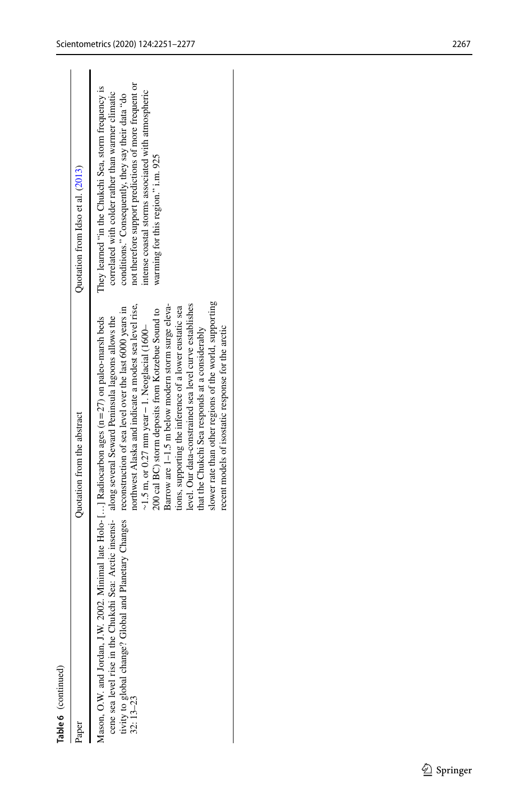| Table 6 (continued)                                                                                                                                                                                                                                                                                                                                                                                                                                                                                                                                                                                                                                                                                                                                                                                                                                                      |                                                                                                                                                                                                                                                                                                                       |
|--------------------------------------------------------------------------------------------------------------------------------------------------------------------------------------------------------------------------------------------------------------------------------------------------------------------------------------------------------------------------------------------------------------------------------------------------------------------------------------------------------------------------------------------------------------------------------------------------------------------------------------------------------------------------------------------------------------------------------------------------------------------------------------------------------------------------------------------------------------------------|-----------------------------------------------------------------------------------------------------------------------------------------------------------------------------------------------------------------------------------------------------------------------------------------------------------------------|
| Quotation from the abstract<br>Paper                                                                                                                                                                                                                                                                                                                                                                                                                                                                                                                                                                                                                                                                                                                                                                                                                                     | Quotation from Idso et al. (2013)                                                                                                                                                                                                                                                                                     |
| slower rate than other regions of the world, supporting<br>Barrow are 1–1.5 m below modern storm surge eleva-<br>northwest Alaska and indicate a modest sea level rise,<br>level. Our data-constrained sea level curve establishes<br>tivity to global change? Global and Planetary Changes reconstruction of sea level over the last 6000 years in<br>tions, supporting the inference of a lower eustatic sea<br>200 cal BC) storm deposits from Kotzebue Sound to<br>cene sea level rise in the Chukchi Sea: Arctic insensi- along several Seward Peninsula lagoons allows the<br>Mason, O.W. and Jordan, J.W. 2002. Minimal late Holo-[] Radiocarbon ages (n=27) on paleo-marsh beds<br>$\sim$ 1.5 m, or 0.27 mm year – 1. Neoglacial (1600–<br>recent models of isostatic response for the arctic<br>that the Chukchi Sea responds at a considerably<br>$32:13 - 23$ | not therefore support predictions of more frequent or<br>They learned "in the Chukchi Sea, storm frequency is<br>intense coastal storms associated with atmospheric<br>correlated with colder rather than warmer climatic<br>conditions." Consequently, they say their data "do<br>warming for this region." i.m. 925 |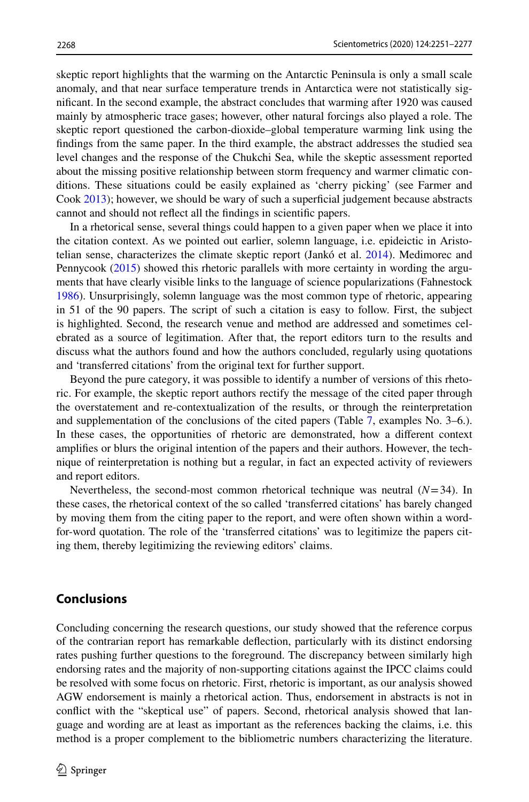skeptic report highlights that the warming on the Antarctic Peninsula is only a small scale anomaly, and that near surface temperature trends in Antarctica were not statistically signifcant. In the second example, the abstract concludes that warming after 1920 was caused mainly by atmospheric trace gases; however, other natural forcings also played a role. The skeptic report questioned the carbon-dioxide–global temperature warming link using the fndings from the same paper. In the third example, the abstract addresses the studied sea level changes and the response of the Chukchi Sea, while the skeptic assessment reported about the missing positive relationship between storm frequency and warmer climatic conditions. These situations could be easily explained as 'cherry picking' (see Farmer and Cook [2013\)](#page-25-19); however, we should be wary of such a superficial judgement because abstracts cannot and should not refect all the fndings in scientifc papers.

In a rhetorical sense, several things could happen to a given paper when we place it into the citation context. As we pointed out earlier, solemn language, i.e. epideictic in Aristotelian sense, characterizes the climate skeptic report (Jankó et al. [2014\)](#page-25-14). Medimorec and Pennycook ([2015\)](#page-25-16) showed this rhetoric parallels with more certainty in wording the arguments that have clearly visible links to the language of science popularizations (Fahnestock [1986\)](#page-24-8). Unsurprisingly, solemn language was the most common type of rhetoric, appearing in 51 of the 90 papers. The script of such a citation is easy to follow. First, the subject is highlighted. Second, the research venue and method are addressed and sometimes celebrated as a source of legitimation. After that, the report editors turn to the results and discuss what the authors found and how the authors concluded, regularly using quotations and 'transferred citations' from the original text for further support.

Beyond the pure category, it was possible to identify a number of versions of this rhetoric. For example, the skeptic report authors rectify the message of the cited paper through the overstatement and re-contextualization of the results, or through the reinterpretation and supplementation of the conclusions of the cited papers (Table [7,](#page-18-0) examples No. 3–6.). In these cases, the opportunities of rhetoric are demonstrated, how a diferent context amplifes or blurs the original intention of the papers and their authors. However, the technique of reinterpretation is nothing but a regular, in fact an expected activity of reviewers and report editors.

Nevertheless, the second-most common rhetorical technique was neutral  $(N=34)$ . In these cases, the rhetorical context of the so called 'transferred citations' has barely changed by moving them from the citing paper to the report, and were often shown within a wordfor-word quotation. The role of the 'transferred citations' was to legitimize the papers citing them, thereby legitimizing the reviewing editors' claims.

### **Conclusions**

Concluding concerning the research questions, our study showed that the reference corpus of the contrarian report has remarkable defection, particularly with its distinct endorsing rates pushing further questions to the foreground. The discrepancy between similarly high endorsing rates and the majority of non-supporting citations against the IPCC claims could be resolved with some focus on rhetoric. First, rhetoric is important, as our analysis showed AGW endorsement is mainly a rhetorical action. Thus, endorsement in abstracts is not in confict with the "skeptical use" of papers. Second, rhetorical analysis showed that language and wording are at least as important as the references backing the claims, i.e. this method is a proper complement to the bibliometric numbers characterizing the literature.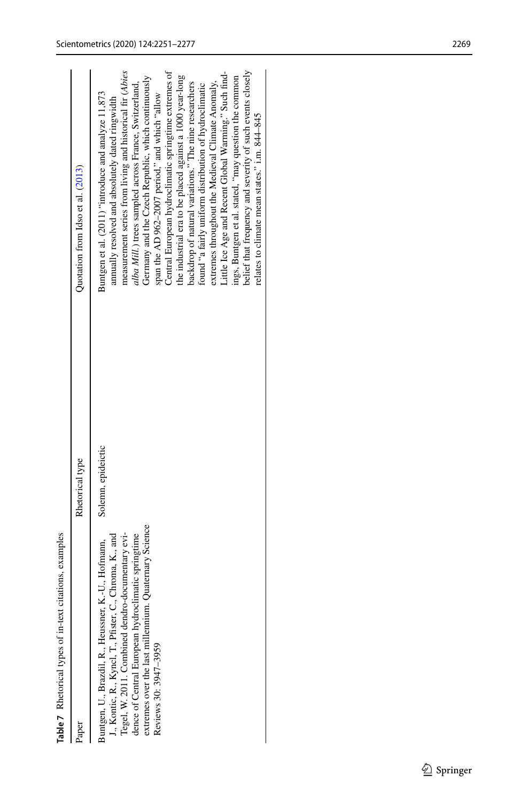| citations, examples<br>Table 7 Rhetorical types of in-text                                                                                                                                                                                                                                                  |                    |                                                                                                                                                                                                                                                                                                                                                                                                                                                                                                                                                                                                                                                                                           |
|-------------------------------------------------------------------------------------------------------------------------------------------------------------------------------------------------------------------------------------------------------------------------------------------------------------|--------------------|-------------------------------------------------------------------------------------------------------------------------------------------------------------------------------------------------------------------------------------------------------------------------------------------------------------------------------------------------------------------------------------------------------------------------------------------------------------------------------------------------------------------------------------------------------------------------------------------------------------------------------------------------------------------------------------------|
| Eaper                                                                                                                                                                                                                                                                                                       | Rhetorical type    | Quotation from Idso et al. (2013)                                                                                                                                                                                                                                                                                                                                                                                                                                                                                                                                                                                                                                                         |
| extremes over the last millennium. Quaternary Sciences<br>Tegel, W. 2011. Combined dendro-documentary evi-<br>J., Kontic, R., Kyncl, T., Pfister, C., Chroma, K., and<br>dence of Central European hydroclimatic springtime<br>Buntgen, U., Brazdil, R., Heussner, K.-U., Hofmann,<br>Reviews 30: 3947-3959 | Solemn, epideictic | Central European hydroclimatic springtime extremes of<br>measurement series from living and historical fir (Abies<br>Little Ice Age and Recent Global Warming." Such find-<br>the industrial era to be placed against a 1000 year-long<br>Germany and the Czech Republic, which continuously<br>extremes throughout the Medieval Climate Anomaly,<br>alba Mill.) trees sampled across France, Switzerland,<br>backdrop of natural variations." The nine researchers<br>found "a fairly uniform distribution of hydroclimatic<br>Buntgen et al. (2011) "introduce and analyze 11,873<br>span the AD 962-2007 period," and which "allow<br>annually resolved and absolutely dated ringwidth |

ings, Buntgen et al. stated, "may question the common belief that frequency and severity of such events closely

ings, Buntgen et al. stated, "may question the common<br>belief that frequency and severity of such events closely

<span id="page-18-0"></span>relates to climate mean states." i.m. 844–845

relates to climate mean states." i.m. 844-845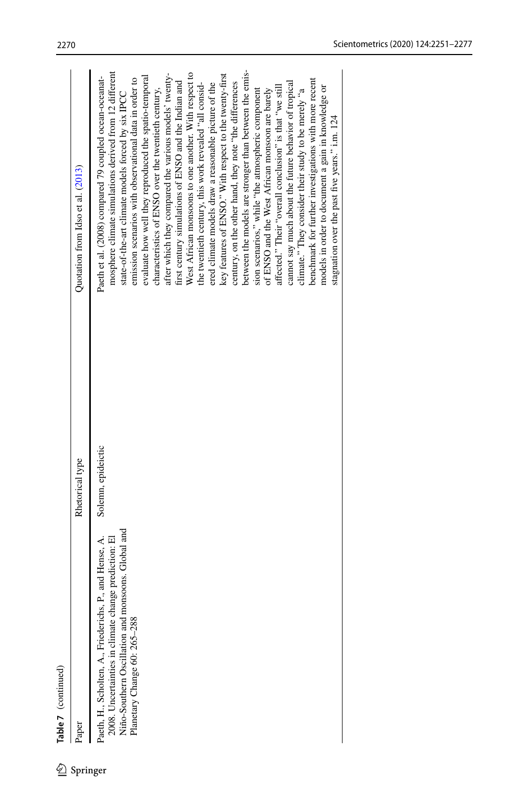Table 7 (continued)

|       | Table 7 (continued)                                                                                        |                    |                                                                                                              |
|-------|------------------------------------------------------------------------------------------------------------|--------------------|--------------------------------------------------------------------------------------------------------------|
| Paper |                                                                                                            | Rhetorical type    | Quotation from Idso et al. $(2013)$                                                                          |
|       | P., and Hense, A.<br>Paeth, H., Scholten, A., Friederichs, 1                                               | Solemn, epideictic | Paeth et al. (2008) compared 79 coupled ocean-oceanat-                                                       |
|       | Niño-Southern Oscillation and monsoons. Global and<br>2008. Uncertainties in climate change prediction: El |                    | mosphere climate simulations derived from 12 different<br>state-of-the-art climate models forced by six IPCC |
|       | Planetary Change 60: 265-288                                                                               |                    | emission scenarios with observational data in order to                                                       |
|       |                                                                                                            |                    | evaluate how well they reproduced the spatio-temporal                                                        |
|       |                                                                                                            |                    | characteristics of ENSO over the twentieth century,                                                          |
|       |                                                                                                            |                    | after which they compared the various models' twenty-                                                        |
|       |                                                                                                            |                    | first century simulations of ENSO and the Indian and                                                         |
|       |                                                                                                            |                    | West African monsoons to one another. With respect to                                                        |
|       |                                                                                                            |                    | the twentieth century, this work revealed "all consid-                                                       |
|       |                                                                                                            |                    | ered climate models draw a reasonable picture of the                                                         |
|       |                                                                                                            |                    | key features of ENSO." With respect to the twenty-first                                                      |
|       |                                                                                                            |                    | century, on the other hand, they note "the differences"                                                      |
|       |                                                                                                            |                    | between the models are stronger than between the emis-                                                       |
|       |                                                                                                            |                    | sion scenarios," while "the atmospheric component                                                            |

of ENSO and the West African monsoon are barely afected." Their "overall conclusion" is that "we still cannot say much about the future behavior of tropical climate." They consider their study to be merely "a benchmark for further investigations with more recent models in order to document a gain in knowledge or stagnation over the past fve years." i.m. 124

affected." Their "overall conclusion" is that "we still of ENSO and the West African monsoon are barely

 ${\rm climate}$  ." They consider their study to be merely "a benchmark for further investigations with more recent cannot say much about the future behavior of tropical

models in order to document a gain in knowledge or

stagnation over the past five years." i.m. 124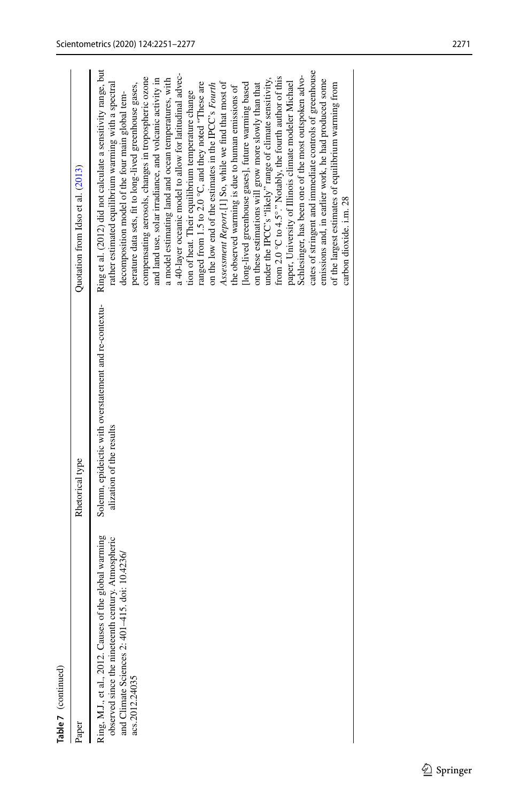| Table 7 (continued)                                                                                                                                                              |                                                                                    |                                                                                                                                                                                                                                                                                                                                                                                                                                                                                                                                                                                                                                                                                                                                                                                                                                                                                                                                                                                                           |
|----------------------------------------------------------------------------------------------------------------------------------------------------------------------------------|------------------------------------------------------------------------------------|-----------------------------------------------------------------------------------------------------------------------------------------------------------------------------------------------------------------------------------------------------------------------------------------------------------------------------------------------------------------------------------------------------------------------------------------------------------------------------------------------------------------------------------------------------------------------------------------------------------------------------------------------------------------------------------------------------------------------------------------------------------------------------------------------------------------------------------------------------------------------------------------------------------------------------------------------------------------------------------------------------------|
| Paper                                                                                                                                                                            | Rhetorical type                                                                    | Quotation from Idso et al. (2013)                                                                                                                                                                                                                                                                                                                                                                                                                                                                                                                                                                                                                                                                                                                                                                                                                                                                                                                                                                         |
| Ring, M.J., et al., 2012. Causes of the global warming<br>observed since the nineteenth century. Atmospheric<br>and Climate Sciences 2: 401-415. doi: 10.4236/<br>acs.2012.24035 | Solemn, epideictic with overstatement and re-contextu-<br>alization of the results | Ring et al. (2012) did not calculate a sensitivity range, but<br>a 40-layer oceanic model to allow for latitudinal advec-<br>compensating aerosols, changes in tropospheric ozone<br>from 2.0 °C to 4.5°." Notably, the fourth author of this<br>a model estimating land and ocean temperatures, with<br>and land use, solar irradiance, and volcanic activity in<br>under the IPCC's "likely" range of climate sensitivity,<br>Assessment Report.[1] So, while we find that most of<br>ranged from $1.5$ to $2.0$ °C, and they noted "These are<br>[long-lived greenhouse gases], future warming based<br>on these estimations will grow more slowly than that<br>perature data sets, fit to long-lived greenhouse gases,<br>on the low end of the estimates in the IPCC's Fourth<br>rather estimated equilibrium warming with a spectral<br>the observed warming is due to human emissions of<br>tion of heat. Their equilibrium temperature change<br>decomposition model of the four main global tem- |

paper, University of Illinois climate modeler Michael Schlesinger, has been one of the most outspoken advocates of stringent and immediate controls of greenhouse emissions and, in earlier work, he had produced some of the largest estimates of equilibrium warming from

paper, University of Illinois climate modeler Michael

Schlesinger, has been one of the most outspoken advo-<br>cates of stringent and immediate controls of greenhouse emissions and, in earlier work, he had produced some

carbon dioxide. i.m. 28

of the largest estimates of equilibrium warming from<br>carbon dioxide. i.m. 28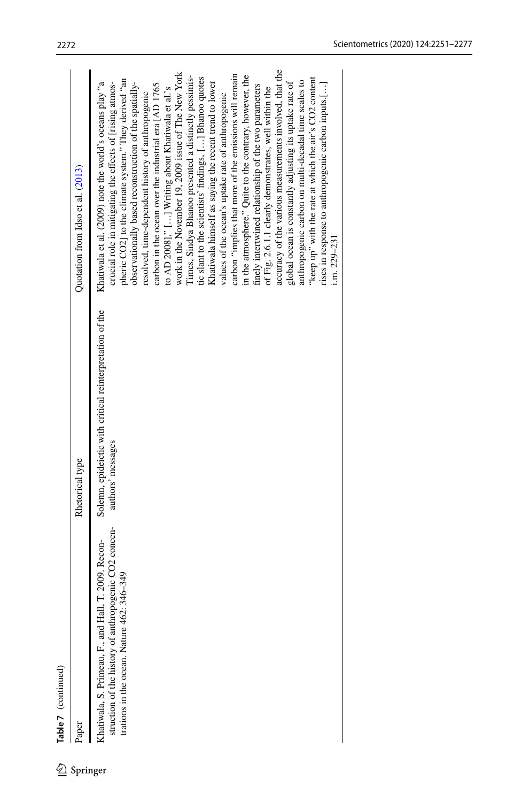|          | Table 7 (continued)                                                                                                                                              |                                                                               |                                                                                                                                                                                                                                                                                                                                                                                                                                                                                                                                                                                                                                                                                                                                                                                                                                                                                                                                                                                                                                                                                                                                                                                                                                                         |
|----------|------------------------------------------------------------------------------------------------------------------------------------------------------------------|-------------------------------------------------------------------------------|---------------------------------------------------------------------------------------------------------------------------------------------------------------------------------------------------------------------------------------------------------------------------------------------------------------------------------------------------------------------------------------------------------------------------------------------------------------------------------------------------------------------------------------------------------------------------------------------------------------------------------------------------------------------------------------------------------------------------------------------------------------------------------------------------------------------------------------------------------------------------------------------------------------------------------------------------------------------------------------------------------------------------------------------------------------------------------------------------------------------------------------------------------------------------------------------------------------------------------------------------------|
| Springer | Paper                                                                                                                                                            | Rhetorical type                                                               | Quotation from Idso et al. (2013)                                                                                                                                                                                                                                                                                                                                                                                                                                                                                                                                                                                                                                                                                                                                                                                                                                                                                                                                                                                                                                                                                                                                                                                                                       |
|          | struction of the history of anthropogenic CO2 concen-<br>T. 2009. Recon-<br>346-349<br>Khatiwala, S. Primeau, F., and Hall<br>trations in the ocean. Nature 462: | Solemn, epideictic with critical reinterpretation of the<br>authors' messages | accuracy of the various measurements involved, that the<br>work in the November 19, 2009 issue of The New York<br>carbon "implies that more of the emissions will remain<br>in the atmosphere." Quite to the contrary, however, the<br>Times, Sindya Bhanoo presented a distinctly pessimis-<br>tic slant to the scientists' findings, [] Bhanoo quotes<br>"keep up" with the rate at which the air's CO2 content<br>pheric CO2] to the climate system." They derived "an<br>anthropogenic carbon on multi-decadal time scales to<br>Khatiwala et al. (2009) note the world's oceans play "a<br>Khatiwala himself as saying the recent trend to lower<br>observationally based reconstruction of the spatially-<br>global ocean is constantly adjusting its uptake rate of<br>rises in response to anthropogenic carbon inputs.[]<br>crucial role in mitigating the effects of [rising atmos-<br>carbon in the ocean over the industrial era [AD 1765<br>finely intertwined relationship of the two parameters<br>of Fig. 2.6.1.1 clearly demonstrates, well within the<br>to AD 2008]," [] Writing about Khatiwala et al.'s<br>resolved, time-dependent history of anthropogenic<br>values of the ocean's uptake rate of anthropogenic<br>i.m. 229–231 |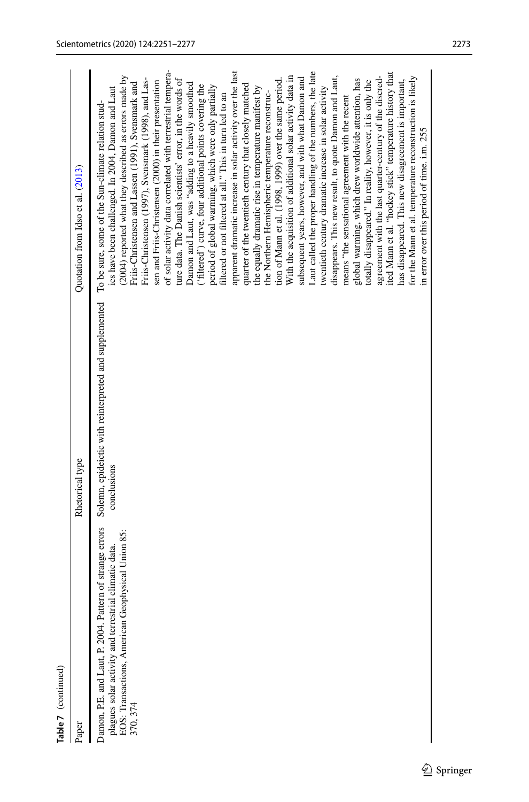| Table 7 (continued)                                                                                                                                                                |                                                                       |                                                                                                                                                                                                                                                                                                                                                                                                                                                                                                                                                                                                                                                                                                                                                                                                                                                                                                                                                                                                                                                                                                                                                                                                                                                                                                                                                                                                                                                                                                                                                                                                                                                                                                                                                                        |
|------------------------------------------------------------------------------------------------------------------------------------------------------------------------------------|-----------------------------------------------------------------------|------------------------------------------------------------------------------------------------------------------------------------------------------------------------------------------------------------------------------------------------------------------------------------------------------------------------------------------------------------------------------------------------------------------------------------------------------------------------------------------------------------------------------------------------------------------------------------------------------------------------------------------------------------------------------------------------------------------------------------------------------------------------------------------------------------------------------------------------------------------------------------------------------------------------------------------------------------------------------------------------------------------------------------------------------------------------------------------------------------------------------------------------------------------------------------------------------------------------------------------------------------------------------------------------------------------------------------------------------------------------------------------------------------------------------------------------------------------------------------------------------------------------------------------------------------------------------------------------------------------------------------------------------------------------------------------------------------------------------------------------------------------------|
| Paper                                                                                                                                                                              | Rhetorical type                                                       | Quotation from Idso et al. (2013)                                                                                                                                                                                                                                                                                                                                                                                                                                                                                                                                                                                                                                                                                                                                                                                                                                                                                                                                                                                                                                                                                                                                                                                                                                                                                                                                                                                                                                                                                                                                                                                                                                                                                                                                      |
| Damon, P.E. and Laut, P. 2004. Pattern of strange errors<br>plagues solar activity and terrestrial climatic data.<br>EOS: Transactions, American Geophysical Union 85:<br>370, 374 | Solemn, epideictic with reinterpreted and supplemented<br>conclusions | of solar activity data correlated with terrestrial tempera-<br>apparent dramatic increase in solar activity over the last<br>Laut called the proper handling of the numbers, the late<br>ited Mann et al. "hockey stick" temperature history that<br>disappears. This new result, to quote Damon and Laut,<br>(2004) reported what they described as errors made by<br>With the acquisition of additional solar activity data in<br>agreement with the last quarter-century of the discred-<br>for the Mann et al. temperature reconstruction is likely<br>subsequent years, however, and with what Damon and<br>Friis-Christensen (1997), Svensmark (1998), and Las-<br>ture data. The Danish scientists' error, in the words of<br>global warming, which drew worldwide attention, has<br>tion of Mann et al. (1998, 1999) over the same period.<br>has disappeared. This new disagreement is important,<br>sen and Friis-Christensen (2000) in their presentation<br>totally disappeared." In reality, however, it is only the<br>Friis-Christensen and Lassen (1991), Svensmark and<br>Damon and Laut, was "adding to a heavily smoothed<br>quarter of the twentieth century that closely matched<br>('filtered') curve, four additional points covering the<br>period of global warming, which were only partially<br>ies have been challenged. In 2004, Damon and Laut<br>the equally dramatic rise in temperature manifest by<br>twentieth century dramatic increase in solar activity<br>the Northern Hemispheric temperature reconstruc-<br>filtered or not filtered at all." This in turn led to an<br>means "the sensational agreement with the recent<br>To be sure, some of the Sun-climate relation stud-<br>in error over this period of time. i.m. 255 |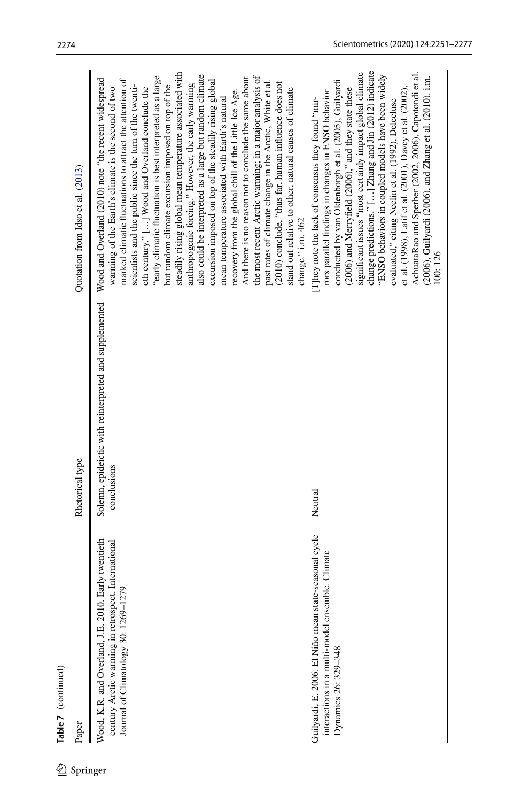Table 7 (continued)

 $\underline{\mathcal{D}}$  Springer

| ഉ        | Table 7 (continued)                                                                                                                                |                                                                       |                                                                                                                                                                                                                                                                                                                                                                                                                                                                                                                                                                                                                                                                                                                                                                                                                                                                                                                                                                                                                                                               |
|----------|----------------------------------------------------------------------------------------------------------------------------------------------------|-----------------------------------------------------------------------|---------------------------------------------------------------------------------------------------------------------------------------------------------------------------------------------------------------------------------------------------------------------------------------------------------------------------------------------------------------------------------------------------------------------------------------------------------------------------------------------------------------------------------------------------------------------------------------------------------------------------------------------------------------------------------------------------------------------------------------------------------------------------------------------------------------------------------------------------------------------------------------------------------------------------------------------------------------------------------------------------------------------------------------------------------------|
| Springer | Paper                                                                                                                                              | Rhetorical type                                                       | Quotation from Idso et al. (2013)                                                                                                                                                                                                                                                                                                                                                                                                                                                                                                                                                                                                                                                                                                                                                                                                                                                                                                                                                                                                                             |
|          | Wood, K.R. and Overland, J.E. 2010. Early twentieth<br>century Arctic warming in retrospect. International<br>Journal of Climatology 30: 1269-1279 | Solemn, epideictic with reinterpreted and supplemented<br>conclusions | steadily rising global mean temperature associated with<br>also could be interpreted as a large but random climate<br>"early climatic fluctuation is best interpreted as a large<br>the most recent Arctic warming; in a major analysis of<br>And there is no reason not to conclude the same about<br>Wood and Overland (2010) note "the recent widespread<br>marked climatic fluctuations to attract the attention of<br>excursion imposed on top of the steadily rising global<br>past rates of climate change in the Arctic, White et al.<br>(2010) conclude, "thus far, human influence does not<br>anthropogenic forcing." However, the early warming<br>scientists and the public since the turn of the twenti-<br>but random climate excursion imposed on top of the<br>warming of the Earth's climate is the second of two<br>eth century," [] Wood and Overland conclude the<br>stand out relative to other, natural causes of climate<br>recovery from the global chill of the Little Ice Age.<br>mean temperature associated with Earth's natural |
|          | Guilyardi, E. 2006. El Niño mean state-seasonal cycle<br>interactions in a multi-model ensemble. Climate<br>Dynamics 26: 329-348                   | Neutral                                                               | change predictions." [] Zhang and Jin (2012) indicate<br>AchuataRao and Sperber (2002, 2006), Capotondi et al.<br>significant issues "most certainly impact global climate<br>"ENSO behaviors in coupled models have been widely<br>(2006), Guilyardi (2006), and Zhang et al. (2010). i.m.<br>conducted by van Oldenborgh et al. (2005), Guilyardi<br>(2006) and Merryfield (2006)," and they state these<br>et al. (1998), Latif et al. (2001), Davey et al. (2002),<br>rors parallel findings in changes in ENSO behavior<br>They note the lack of consensus they found "mir-<br>evaluated," citing Neelin et al. (1992), Delecluse<br>change." i.m. 462<br>100; 126                                                                                                                                                                                                                                                                                                                                                                                       |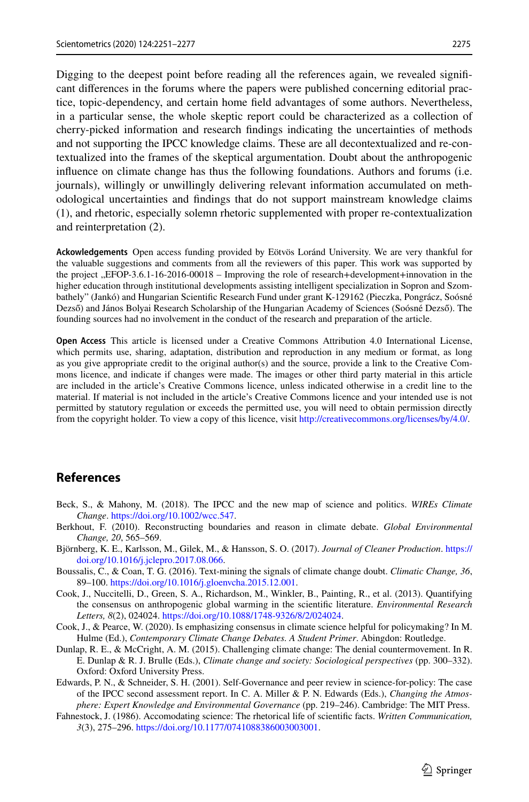Digging to the deepest point before reading all the references again, we revealed signifcant diferences in the forums where the papers were published concerning editorial practice, topic-dependency, and certain home feld advantages of some authors. Nevertheless, in a particular sense, the whole skeptic report could be characterized as a collection of cherry-picked information and research fndings indicating the uncertainties of methods and not supporting the IPCC knowledge claims. These are all decontextualized and re-contextualized into the frames of the skeptical argumentation. Doubt about the anthropogenic infuence on climate change has thus the following foundations. Authors and forums (i.e. journals), willingly or unwillingly delivering relevant information accumulated on methodological uncertainties and fndings that do not support mainstream knowledge claims (1), and rhetoric, especially solemn rhetoric supplemented with proper re-contextualization and reinterpretation (2).

**Ackowledgements** Open access funding provided by Eötvös Loránd University. We are very thankful for the valuable suggestions and comments from all the reviewers of this paper. This work was supported by the project "EFOP-3.6.1-16-2016-00018 – Improving the role of research+development+innovation in the higher education through institutional developments assisting intelligent specialization in Sopron and Szombathely" (Jankó) and Hungarian Scientifc Research Fund under grant K-129162 (Pieczka, Pongrácz, Soósné Dezső) and János Bolyai Research Scholarship of the Hungarian Academy of Sciences (Soósné Dezső). The founding sources had no involvement in the conduct of the research and preparation of the article.

**Open Access** This article is licensed under a Creative Commons Attribution 4.0 International License, which permits use, sharing, adaptation, distribution and reproduction in any medium or format, as long as you give appropriate credit to the original author(s) and the source, provide a link to the Creative Commons licence, and indicate if changes were made. The images or other third party material in this article are included in the article's Creative Commons licence, unless indicated otherwise in a credit line to the material. If material is not included in the article's Creative Commons licence and your intended use is not permitted by statutory regulation or exceeds the permitted use, you will need to obtain permission directly from the copyright holder. To view a copy of this licence, visit [http://creativecommons.org/licenses/by/4.0/.](http://creativecommons.org/licenses/by/4.0/)

## **References**

- <span id="page-24-2"></span>Beck, S., & Mahony, M. (2018). The IPCC and the new map of science and politics. *WIREs Climate Change*. [https://doi.org/10.1002/wcc.547.](https://doi.org/10.1002/wcc.547)
- <span id="page-24-1"></span>Berkhout, F. (2010). Reconstructing boundaries and reason in climate debate. *Global Environmental Change, 20*, 565–569.
- <span id="page-24-3"></span>Björnberg, K. E., Karlsson, M., Gilek, M., & Hansson, S. O. (2017). *Journal of Cleaner Production*. [https://](https://doi.org/10.1016/j.jclepro.2017.08.066) [doi.org/10.1016/j.jclepro.2017.08.066](https://doi.org/10.1016/j.jclepro.2017.08.066).
- <span id="page-24-5"></span>Boussalis, C., & Coan, T. G. (2016). Text-mining the signals of climate change doubt. *Climatic Change, 36*, 89–100. [https://doi.org/10.1016/j.gloenvcha.2015.12.001.](https://doi.org/10.1016/j.gloenvcha.2015.12.001)
- <span id="page-24-6"></span>Cook, J., Nuccitelli, D., Green, S. A., Richardson, M., Winkler, B., Painting, R., et al. (2013). Quantifying the consensus on anthropogenic global warming in the scientifc literature. *Environmental Research Letters, 8*(2), 024024. [https://doi.org/10.1088/1748-9326/8/2/024024.](https://doi.org/10.1088/1748-9326/8/2/024024)
- <span id="page-24-7"></span>Cook, J., & Pearce, W. (2020). Is emphasizing consensus in climate science helpful for policymaking? In M. Hulme (Ed.), *Contemporary Climate Change Debates. A Student Primer*. Abingdon: Routledge.
- <span id="page-24-4"></span>Dunlap, R. E., & McCright, A. M. (2015). Challenging climate change: The denial countermovement. In R. E. Dunlap & R. J. Brulle (Eds.), *Climate change and society: Sociological perspectives* (pp. 300–332). Oxford: Oxford University Press.
- <span id="page-24-0"></span>Edwards, P. N., & Schneider, S. H. (2001). Self-Governance and peer review in science-for-policy: The case of the IPCC second assessment report. In C. A. Miller & P. N. Edwards (Eds.), *Changing the Atmosphere: Expert Knowledge and Environmental Governance* (pp. 219–246). Cambridge: The MIT Press.
- <span id="page-24-8"></span>Fahnestock, J. (1986). Accomodating science: The rhetorical life of scientifc facts. *Written Communication, 3*(3), 275–296. [https://doi.org/10.1177/0741088386003003001.](https://doi.org/10.1177/0741088386003003001)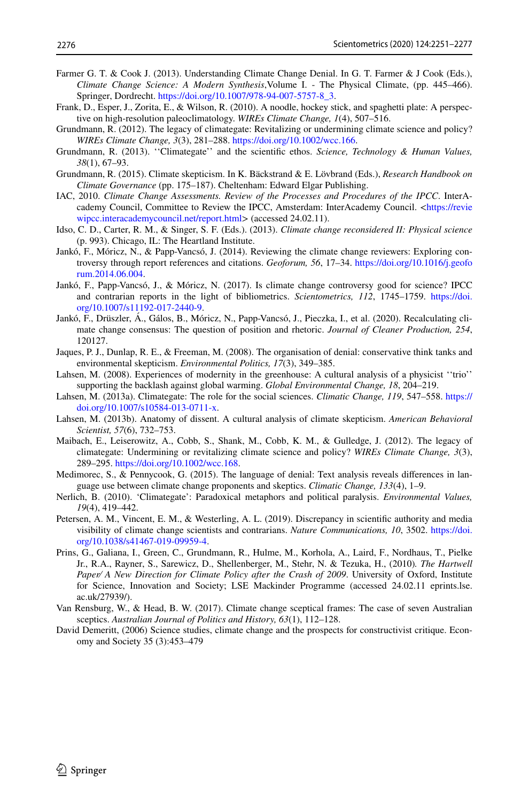- <span id="page-25-19"></span>Farmer G. T. & Cook J. (2013). Understanding Climate Change Denial. In G. T. Farmer & J Cook (Eds.), *Climate Change Science: A Modern Synthesis*,Volume I. - The Physical Climate, (pp. 445–466). Springer, Dordrecht. [https://doi.org/10.1007/978-94-007-5757-8\\_3.](https://doi.org/10.1007/978-94-007-5757-8_3)
- <span id="page-25-1"></span>Frank, D., Esper, J., Zorita, E., & Wilson, R. (2010). A noodle, hockey stick, and spaghetti plate: A perspective on high-resolution paleoclimatology. *WIREs Climate Change, 1*(4), 507–516.
- <span id="page-25-4"></span>Grundmann, R. (2012). The legacy of climategate: Revitalizing or undermining climate science and policy? *WIREs Climate Change, 3*(3), 281–288.<https://doi.org/10.1002/wcc.166>.
- <span id="page-25-5"></span>Grundmann, R. (2013). ''Climategate'' and the scientifc ethos. *Science, Technology & Human Values, 38*(1), 67–93.
- <span id="page-25-0"></span>Grundmann, R. (2015). Climate skepticism. In K. Bäckstrand & E. Lövbrand (Eds.), *Research Handbook on Climate Governance* (pp. 175–187). Cheltenham: Edward Elgar Publishing.
- <span id="page-25-3"></span>IAC, 2010. *Climate Change Assessments. Review of the Processes and Procedures of the IPCC*. InterAcademy Council, Committee to Review the IPCC, Amsterdam: InterAcademy Council. <[https://revie](http://reviewipcc.interacademycouncil.net/report.html) [wipcc.interacademycouncil.net/report.html](http://reviewipcc.interacademycouncil.net/report.html)> (accessed 24.02.11).
- <span id="page-25-17"></span>Idso, C. D., Carter, R. M., & Singer, S. F. (Eds.). (2013). *Climate change reconsidered II: Physical science* (p. 993). Chicago, IL: The Heartland Institute.
- <span id="page-25-14"></span>Jankó, F., Móricz, N., & Papp-Vancsó, J. (2014). Reviewing the climate change reviewers: Exploring controversy through report references and citations. *Geoforum, 56*, 17–34. [https://doi.org/10.1016/j.geofo](https://doi.org/10.1016/j.geoforum.2014.06.004) [rum.2014.06.004.](https://doi.org/10.1016/j.geoforum.2014.06.004)
- <span id="page-25-15"></span>Jankó, F., Papp-Vancsó, J., & Móricz, N. (2017). Is climate change controversy good for science? IPCC and contrarian reports in the light of bibliometrics. *Scientometrics, 112*, 1745–1759. [https://doi.](https://doi.org/10.1007/s11192-017-2440-9) [org/10.1007/s11192-017-2440-9.](https://doi.org/10.1007/s11192-017-2440-9)
- <span id="page-25-18"></span>Jankó, F., Drüszler, Á., Gálos, B., Móricz, N., Papp-Vancsó, J., Pieczka, I., et al. (2020). Recalculating climate change consensus: The question of position and rhetoric. *Journal of Cleaner Production, 254*, 120127.
- <span id="page-25-11"></span>Jaques, P. J., Dunlap, R. E., & Freeman, M. (2008). The organisation of denial: conservative think tanks and environmental skepticism. *Environmental Politics, 17*(3), 349–385.
- <span id="page-25-8"></span>Lahsen, M. (2008). Experiences of modernity in the greenhouse: A cultural analysis of a physicist ''trio'' supporting the backlash against global warming. *Global Environmental Change, 18*, 204–219.
- <span id="page-25-7"></span>Lahsen, M. (2013a). Climategate: The role for the social sciences. *Climatic Change, 119*, 547–558. [https://](https://doi.org/10.1007/s10584-013-0711-x) [doi.org/10.1007/s10584-013-0711-x](https://doi.org/10.1007/s10584-013-0711-x).
- <span id="page-25-9"></span>Lahsen, M. (2013b). Anatomy of dissent. A cultural analysis of climate skepticism. *American Behavioral Scientist, 57*(6), 732–753.
- <span id="page-25-6"></span>Maibach, E., Leiserowitz, A., Cobb, S., Shank, M., Cobb, K. M., & Gulledge, J. (2012). The legacy of climategate: Undermining or revitalizing climate science and policy? *WIREs Climate Change, 3*(3), 289–295. [https://doi.org/10.1002/wcc.168.](https://doi.org/10.1002/wcc.168)
- <span id="page-25-16"></span>Medimorec, S., & Pennycook, G. (2015). The language of denial: Text analysis reveals diferences in language use between climate change proponents and skeptics. *Climatic Change, 133*(4), 1–9.
- <span id="page-25-13"></span>Nerlich, B. (2010). 'Climategate': Paradoxical metaphors and political paralysis. *Environmental Values, 19*(4), 419–442.
- <span id="page-25-12"></span>Petersen, A. M., Vincent, E. M., & Westerling, A. L. (2019). Discrepancy in scientifc authority and media visibility of climate change scientists and contrarians. *Nature Communications, 10*, 3502. [https://doi.](https://doi.org/10.1038/s41467-019-09959-4) [org/10.1038/s41467-019-09959-4.](https://doi.org/10.1038/s41467-019-09959-4)
- <span id="page-25-2"></span>Prins, G., Galiana, I., Green, C., Grundmann, R., Hulme, M., Korhola, A., Laird, F., Nordhaus, T., Pielke Jr., R.A., Rayner, S., Sarewicz, D., Shellenberger, M., Stehr, N. & Tezuka, H., (2010)*. The Hartwell Paper⁄ A New Direction for Climate Policy after the Crash of 2009*. University of Oxford, Institute for Science, Innovation and Society; LSE Mackinder Programme (accessed 24.02.11 eprints.lse. ac.uk/27939/).
- <span id="page-25-10"></span>Van Rensburg, W., & Head, B. W. (2017). Climate change sceptical frames: The case of seven Australian sceptics. *Australian Journal of Politics and History, 63*(1), 112–128.
- David Demeritt, (2006) Science studies, climate change and the prospects for constructivist critique. Economy and Society 35 (3):453–479